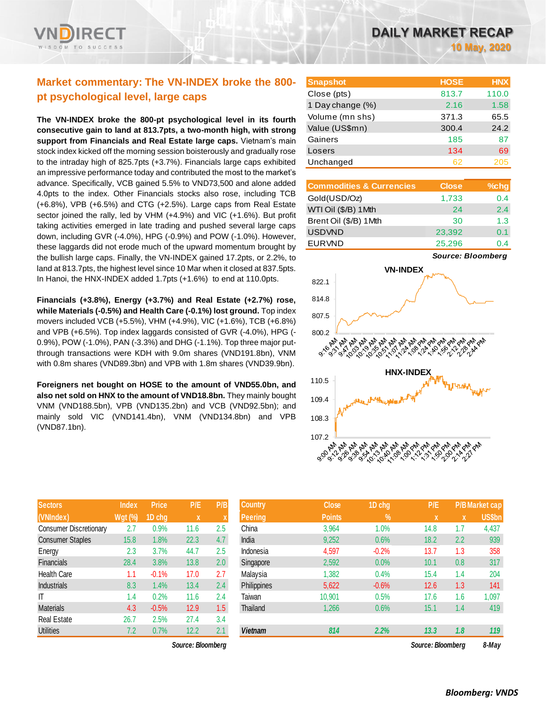# **Market commentary: The VN-INDEX broke the 800 pt psychological level, large caps**

**The VN-INDEX broke the 800-pt psychological level in its fourth consecutive gain to land at 813.7pts, a two-month high, with strong support from Financials and Real Estate large caps.** Vietnam's main stock index kicked off the morning session boisterously and gradually rose to the intraday high of 825.7pts (+3.7%). Financials large caps exhibited an impressive performance today and contributed the most to the market's advance. Specifically, VCB gained 5.5% to VND73,500 and alone added 4.0pts to the index. Other Financials stocks also rose, including TCB (+6.8%), VPB (+6.5%) and CTG (+2.5%). Large caps from Real Estate sector joined the rally, led by VHM (+4.9%) and VIC (+1.6%). But profit taking activities emerged in late trading and pushed several large caps down, including GVR (-4.0%), HPG (-0.9%) and POW (-1.0%). However, these laggards did not erode much of the upward momentum brought by the bullish large caps. Finally, the VN-INDEX gained 17.2pts, or 2.2%, to land at 813.7pts, the highest level since 10 Mar when it closed at 837.5pts. In Hanoi, the HNX-INDEX added 1.7pts (+1.6%) to end at 110.0pts.

**Financials (+3.8%), Energy (+3.7%) and Real Estate (+2.7%) rose, while Materials (-0.5%) and Health Care (-0.1%) lost ground.** Top index movers included VCB (+5.5%), VHM (+4.9%), VIC (+1.6%), TCB (+6.8%) and VPB (+6.5%). Top index laggards consisted of GVR (-4.0%), HPG (- 0.9%), POW (-1.0%), PAN (-3.3%) and DHG (-1.1%). Top three major putthrough transactions were KDH with 9.0m shares (VND191.8bn), VNM with 0.8m shares (VND89.3bn) and VPB with 1.8m shares (VND39.9bn).

**Foreigners net bought on HOSE to the amount of VND55.0bn, and also net sold on HNX to the amount of VND18.8bn.** They mainly bought VNM (VND188.5bn), VPB (VND135.2bn) and VCB (VND92.5bn); and mainly sold VIC (VND141.4bn), VNM (VND134.8bn) and VPB (VND87.1bn).

| <b>Sectors</b>                | <b>Index</b>   | <b>Price</b> | P/E  | P/B |
|-------------------------------|----------------|--------------|------|-----|
| (VNIndex)                     | <b>Wgt (%)</b> | 1D chg       | X    | X   |
| <b>Consumer Discretionary</b> | 2.7            | 0.9%         | 11.6 | 2.5 |
| <b>Consumer Staples</b>       | 15.8           | 1.8%         | 22.3 | 4.7 |
| Energy                        | 2.3            | 3.7%         | 44.7 | 2.5 |
| Financials                    | 28.4           | 3.8%         | 13.8 | 2.0 |
| <b>Health Care</b>            | 1.1            | $-0.1%$      | 17.0 | 2.7 |
| <b>Industrials</b>            | 8.3            | 1.4%         | 13.4 | 2.4 |
| IΤ                            | 1.4            | 0.2%         | 11.6 | 2.4 |
| <b>Materials</b>              | 4.3            | $-0.5%$      | 12.9 | 1.5 |
| <b>Real Estate</b>            | 26.7           | 2.5%         | 27.4 | 3.4 |
| <b>Utilities</b>              | 7.2            | 0.7%         | 12.2 | 2.1 |

*Source: Bloomberg Source: Bloomberg 8-May*

| <b>Snapshot</b>  | <b>HOSE</b> | <b>HNX</b> |
|------------------|-------------|------------|
| Close (pts)      | 813.7       | 110.0      |
| 1 Day change (%) | 2.16        | 1.58       |
| Volume (mn shs)  | 371.3       | 65.5       |
| Value (US\$mn)   | 300.4       | 24.2       |
| Gainers          | 185         | 87         |
| Losers           | 134         | 69         |
| Unchanged        | 62          | 205        |

| <b>Commodities &amp; Currencies</b> | <b>Close</b> | $%$ chg |
|-------------------------------------|--------------|---------|
| Gold(USD/Oz)                        | 1,733        | 0.4     |
| WTI Oil (\$/B) 1Mth                 | 24           | 2.4     |
| Brent Oil (\$/B) 1Mth               | 30           | 1.3     |
| <b>USDVND</b>                       | 23,392       | 0.1     |
| <b>EURVND</b>                       | 25,296       | በ 4     |

*Source: Bloomberg*



| <b>Sectors</b>          | <b>Index</b>   | <b>Price</b> | P/E               | P/B | <b>Country</b> | <b>Close</b>  | 1D chg  | P/E               |     | <b>P/B Market cap</b> |
|-------------------------|----------------|--------------|-------------------|-----|----------------|---------------|---------|-------------------|-----|-----------------------|
| (VNIndex)               | <b>Wgt (%)</b> | 1D chg       | X                 |     | <b>Peering</b> | <b>Points</b> | %       | <b>X</b>          | X   | <b>US\$bn</b>         |
| Consumer Discretionary  | 2.7            | 0.9%         | 11.6              | 2.5 | China          | 3,964         | 1.0%    | 14.8              | 1.7 | 4,437                 |
| <b>Consumer Staples</b> | 15.8           | $1.8\%$      | 22.3              | 4.7 | India          | 9,252         | 0.6%    | 18.2              | 2.2 | 939                   |
| Energy                  | 2.3            | 3.7%         | 44.7              | 2.5 | Indonesia      | 4,597         | $-0.2%$ | 13.7              | 1.3 | 358                   |
| Financials              | 28.4           | 3.8%         | 13.8              | 2.0 | Singapore      | 2,592         | 0.0%    | 10.1              | 0.8 | 317                   |
| Health Care             | 1.1            | $-0.1%$      | 17.0              | 2.7 | Malaysia       | 1,382         | 0.4%    | 15.4              | 1.4 | 204                   |
| <b>Industrials</b>      | 8.3            | 1.4%         | 13.4              | 2.4 | Philippines    | 5,622         | $-0.6%$ | 12.6              | 1.3 | 141                   |
| Τ                       | 1.4            | 0.2%         | 11.6              | 2.4 | Taiwan         | 10,901        | 0.5%    | 17.6              | 1.6 | 1,097                 |
| Materials               | 4.3            | $-0.5%$      | 12.9              | 1.5 | Thailand       | 1,266         | 0.6%    | 15.1              | 1.4 | 419                   |
| Real Estate             | 26.7           | 2.5%         | 27.4              | 3.4 |                |               |         |                   |     |                       |
| <b>Utilities</b>        | 7.2            | 0.7%         | 12.2              | 2.1 | <b>Vietnam</b> | 814           | 2.2%    | 13.3              | 1.8 | 119                   |
|                         |                |              | Source: Bloomberg |     |                |               |         | Source: Bloomberg |     | $R$ -May              |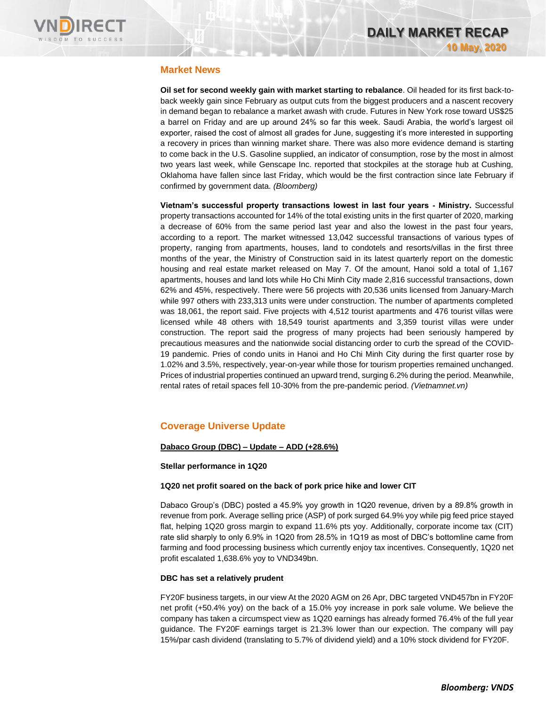

## **Market News**

**Oil set for second weekly gain with market starting to rebalance**. Oil headed for its first back-toback weekly gain since February as output cuts from the biggest producers and a nascent recovery in demand began to rebalance a market awash with crude. Futures in New York rose toward US\$25 a barrel on Friday and are up around 24% so far this week. Saudi Arabia, the world's largest oil exporter, raised the cost of almost all grades for June, suggesting it's more interested in supporting a recovery in prices than winning market share. There was also more evidence demand is starting to come back in the U.S. Gasoline supplied, an indicator of consumption, rose by the most in almost two years last week, while Genscape Inc. reported that stockpiles at the storage hub at Cushing, Oklahoma have fallen since last Friday, which would be the first contraction since late February if confirmed by government data. *(Bloomberg)*

**Vietnam's successful property transactions lowest in last four years - Ministry.** Successful property transactions accounted for 14% of the total existing units in the first quarter of 2020, marking a decrease of 60% from the same period last year and also the lowest in the past four years, according to a report. The market witnessed 13,042 successful transactions of various types of property, ranging from apartments, houses, land to condotels and resorts/villas in the first three months of the year, the Ministry of Construction said in its latest quarterly report on the domestic housing and real estate market released on May 7. Of the amount, Hanoi sold a total of 1,167 apartments, houses and land lots while Ho Chi Minh City made 2,816 successful transactions, down 62% and 45%, respectively. There were 56 projects with 20,536 units licensed from January-March while 997 others with 233,313 units were under construction. The number of apartments completed was 18,061, the report said. Five projects with 4,512 tourist apartments and 476 tourist villas were licensed while 48 others with 18,549 tourist apartments and 3,359 tourist villas were under construction. The report said the progress of many projects had been seriously hampered by precautious measures and the nationwide social distancing order to curb the spread of the COVID-19 pandemic. Pries of condo units in Hanoi and Ho Chi Minh City during the first quarter rose by 1.02% and 3.5%, respectively, year-on-year while those for tourism properties remained unchanged. Prices of industrial properties continued an upward trend, surging 6.2% during the period. Meanwhile, rental rates of retail spaces fell 10-30% from the pre-pandemic period. *(Vietnamnet.vn)*

## **Coverage Universe Update**

#### **Dabaco Group (DBC) – Update – ADD (+28.6%)**

#### **Stellar performance in 1Q20**

#### **1Q20 net profit soared on the back of pork price hike and lower CIT**

Dabaco Group's (DBC) posted a 45.9% yoy growth in 1Q20 revenue, driven by a 89.8% growth in revenue from pork. Average selling price (ASP) of pork surged 64.9% yoy while pig feed price stayed flat, helping 1Q20 gross margin to expand 11.6% pts yoy. Additionally, corporate income tax (CIT) rate slid sharply to only 6.9% in 1Q20 from 28.5% in 1Q19 as most of DBC's bottomline came from farming and food processing business which currently enjoy tax incentives. Consequently, 1Q20 net profit escalated 1,638.6% yoy to VND349bn.

#### **DBC has set a relatively prudent**

FY20F business targets, in our view At the 2020 AGM on 26 Apr, DBC targeted VND457bn in FY20F net profit (+50.4% yoy) on the back of a 15.0% yoy increase in pork sale volume. We believe the company has taken a circumspect view as 1Q20 earnings has already formed 76.4% of the full year guidance. The FY20F earnings target is 21.3% lower than our expection. The company will pay 15%/par cash dividend (translating to 5.7% of dividend yield) and a 10% stock dividend for FY20F.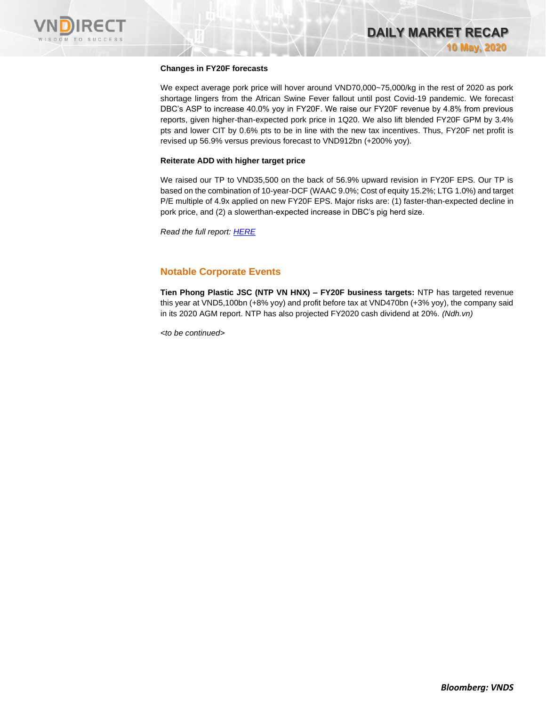

#### **Changes in FY20F forecasts**

We expect average pork price will hover around VND70,000~75,000/kg in the rest of 2020 as pork shortage lingers from the African Swine Fever fallout until post Covid-19 pandemic. We forecast DBC's ASP to increase 40.0% yoy in FY20F. We raise our FY20F revenue by 4.8% from previous reports, given higher-than-expected pork price in 1Q20. We also lift blended FY20F GPM by 3.4% pts and lower CIT by 0.6% pts to be in line with the new tax incentives. Thus, FY20F net profit is revised up 56.9% versus previous forecast to VND912bn (+200% yoy).

#### **Reiterate ADD with higher target price**

We raised our TP to VND35,500 on the back of 56.9% upward revision in FY20F EPS. Our TP is based on the combination of 10-year-DCF (WAAC 9.0%; Cost of equity 15.2%; LTG 1.0%) and target P/E multiple of 4.9x applied on new FY20F EPS. Major risks are: (1) faster-than-expected decline in pork price, and (2) a slowerthan-expected increase in DBC's pig herd size.

*Read the full report: [HERE](https://nhanha-public-api.vndirect.com.vn/click/OGE0ODlmZDA3MDVhYmY5ZTAxNzA1Y2ZkYmY4YjAwMDM=/ZTM5NDk5OTgyYjMxNDg5OGI5MzcwOWMzNmEzYWM3OWM=/e39499982b314898b93709c36a3ac79c-DBC_Update_20200508.pdf/cmVzZWFyY2hAdm5kaXJlY3QuY29tLnZu/MTgyNzE=)*

## **Notable Corporate Events**

**Tien Phong Plastic JSC (NTP VN HNX) – FY20F business targets:** NTP has targeted revenue this year at VND5,100bn (+8% yoy) and profit before tax at VND470bn (+3% yoy), the company said in its 2020 AGM report. NTP has also projected FY2020 cash dividend at 20%. *(Ndh.vn)*

*<to be continued>*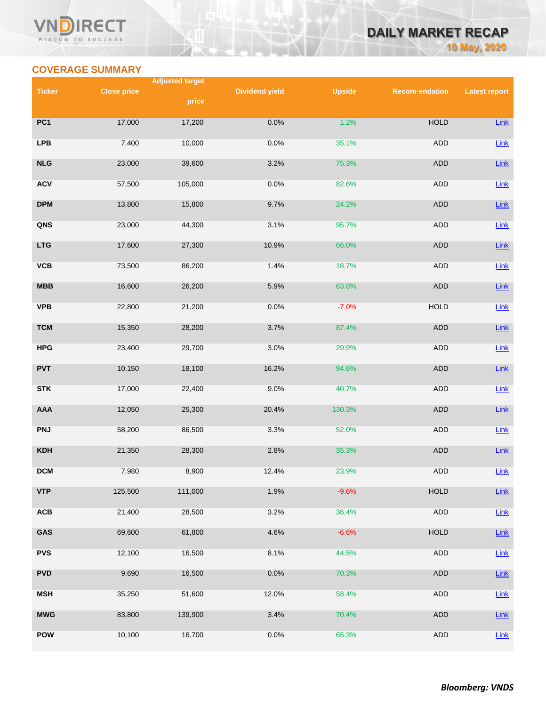## **COVERAGE SUMMARY**

WISDOM TO SUCCESS

т

 $\overline{\mathsf{V}}$ 

| <b>DAILY MARKET RECAP</b> |  |                     |
|---------------------------|--|---------------------|
|                           |  | <b>10 May, 2020</b> |

|               |                    | <b>Adjusted target</b> |                       |               |                       |                      |
|---------------|--------------------|------------------------|-----------------------|---------------|-----------------------|----------------------|
| <b>Ticker</b> | <b>Close price</b> | price                  | <b>Dividend yield</b> | <b>Upside</b> | <b>Recom-endation</b> | <b>Latest report</b> |
|               |                    |                        |                       |               |                       |                      |
| PC1           | 17,000             | 17,200                 | 0.0%                  | 1.2%          | <b>HOLD</b>           | $Link$               |
| <b>LPB</b>    | 7,400              | 10,000                 | 0.0%                  | 35.1%         | ADD                   | Link                 |
| NLG           | 23,000             | 39,600                 | 3.2%                  | 75.3%         | ADD                   | $Link$               |
| <b>ACV</b>    | 57,500             | 105,000                | 0.0%                  | 82.6%         | ADD                   | Link                 |
| <b>DPM</b>    | 13,800             | 15,800                 | 9.7%                  | 24.2%         | ADD                   | $Link$               |
| QNS           | 23,000             | 44,300                 | 3.1%                  | 95.7%         | ADD                   | Link                 |
| <b>LTG</b>    | 17,600             | 27,300                 | 10.9%                 | 66.0%         | ADD                   | $Link$               |
| VCB           | 73,500             | 86,200                 | 1.4%                  | 18.7%         | ADD                   | Link                 |
| <b>MBB</b>    | 16,600             | 26,200                 | 5.9%                  | 63.8%         | ADD                   | $Link$               |
| <b>VPB</b>    | 22,800             | 21,200                 | 0.0%                  | $-7.0%$       | <b>HOLD</b>           | Link                 |
| <b>TCM</b>    | 15,350             | 28,200                 | 3.7%                  | 87.4%         | <b>ADD</b>            | $Link$               |
| <b>HPG</b>    | 23,400             | 29,700                 | 3.0%                  | 29.9%         | ADD                   | Link                 |
| <b>PVT</b>    | 10,150             | 18,100                 | 16.2%                 | 94.6%         | ADD                   | $Link$               |
| <b>STK</b>    | 17,000             | 22,400                 | 9.0%                  | 40.7%         | ADD                   | Link                 |
| AAA           | 12,050             | 25,300                 | 20.4%                 | 130.3%        | ADD                   | $Link$               |
| <b>PNJ</b>    | 58,200             | 86,500                 | 3.3%                  | 52.0%         | ADD                   | <b>Link</b>          |
| <b>KDH</b>    | 21,350             | 28,300                 | 2.8%                  | 35.3%         | ADD                   | $Link$               |
| DCM           | 7,980              | 8,900                  | 12.4%                 | 23.9%         | <b>ADD</b>            | Link                 |
| <b>VTP</b>    | 125,500            | 111,000                | 1.9%                  | $-9.6%$       | <b>HOLD</b>           | $Link$               |
| <b>ACB</b>    | 21,400             | 28,500                 | 3.2%                  | 36.4%         | <b>ADD</b>            | Link                 |
| GAS           | 69,600             | 61,800                 | 4.6%                  | $-6.6%$       | <b>HOLD</b>           | $Link$               |
| <b>PVS</b>    | 12,100             | 16,500                 | 8.1%                  | 44.5%         | ADD                   | Link                 |
| <b>PVD</b>    | 9,690              | 16,500                 | 0.0%                  | 70.3%         | ADD                   | Link                 |
| <b>MSH</b>    | 35,250             | 51,600                 | 12.0%                 | 58.4%         | ADD                   | Link                 |
| <b>MWG</b>    | 83,800             | 139,900                | 3.4%                  | 70.4%         | ADD                   | $Link$               |
| <b>POW</b>    | 10,100             | 16,700                 | 0.0%                  | 65.3%         | ADD                   | Link                 |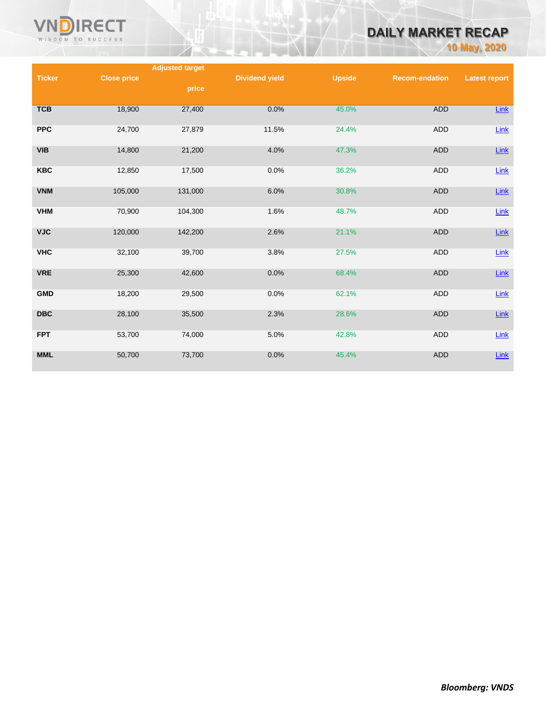

# **DAILY MARKET RECAP**

**10 May, 2020**

|               |                    | <b>Adjusted target</b> |                       |               |                       |                      |
|---------------|--------------------|------------------------|-----------------------|---------------|-----------------------|----------------------|
| <b>Ticker</b> | <b>Close price</b> |                        | <b>Dividend yield</b> | <b>Upside</b> | <b>Recom-endation</b> | <b>Latest report</b> |
|               |                    | price                  |                       |               |                       |                      |
|               |                    |                        |                       |               |                       |                      |
| <b>TCB</b>    | 18,900             | 27,400                 | 0.0%                  | 45.0%         | <b>ADD</b>            | Link                 |
|               |                    |                        |                       |               |                       |                      |
| <b>PPC</b>    | 24,700             | 27,879                 | 11.5%                 | 24.4%         | <b>ADD</b>            | Link                 |
|               |                    |                        |                       |               |                       |                      |
| <b>VIB</b>    | 14,800             | 21,200                 | 4.0%                  | 47.3%         | <b>ADD</b>            | $Link$               |
|               |                    |                        |                       |               |                       |                      |
| <b>KBC</b>    | 12,850             | 17,500                 | 0.0%                  | 36.2%         | ADD                   | Link                 |
|               |                    |                        |                       |               |                       |                      |
| <b>VNM</b>    | 105,000            | 131,000                | 6.0%                  | 30.8%         | <b>ADD</b>            | $Link$               |
| <b>VHM</b>    | 70,900             | 104,300                | 1.6%                  | 48.7%         | <b>ADD</b>            | Link                 |
|               |                    |                        |                       |               |                       |                      |
| <b>VJC</b>    | 120,000            | 142,200                | 2.6%                  | 21.1%         | <b>ADD</b>            | $Link$               |
|               |                    |                        |                       |               |                       |                      |
| <b>VHC</b>    | 32,100             | 39,700                 | 3.8%                  | 27.5%         | ADD                   | Link                 |
|               |                    |                        |                       |               |                       |                      |
| <b>VRE</b>    | 25,300             | 42,600                 | 0.0%                  | 68.4%         | <b>ADD</b>            | Link                 |
|               |                    |                        |                       |               |                       |                      |
| <b>GMD</b>    | 18,200             | 29,500                 | 0.0%                  | 62.1%         | <b>ADD</b>            | $Link$               |
|               |                    |                        |                       |               |                       |                      |
| <b>DBC</b>    | 28,100             | 35,500                 | 2.3%                  | 28.6%         | <b>ADD</b>            | Link                 |
|               |                    |                        |                       |               |                       |                      |
| <b>FPT</b>    | 53,700             | 74,000                 | 5.0%                  | 42.8%         | ADD                   | Link                 |
|               |                    |                        |                       |               |                       |                      |
| MML           | 50,700             | 73,700                 | 0.0%                  | 45.4%         | <b>ADD</b>            | $Link$               |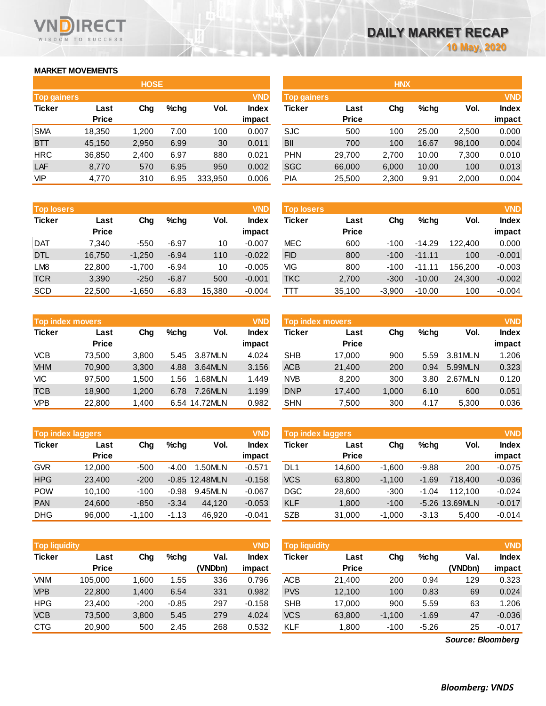## **MARKET MOVEMENTS**

WISDOM TO SUCCESS

**RECT** 

VND

|                    |              | <b>HOSE</b> |         |         |              |                    |              | <b>HNX</b> |       |        |            |
|--------------------|--------------|-------------|---------|---------|--------------|--------------------|--------------|------------|-------|--------|------------|
| <b>Top gainers</b> |              |             |         |         | <b>VND</b>   | <b>Top gainers</b> |              |            |       |        | <b>VND</b> |
| <b>Ticker</b>      | Last         | Chg         | $%$ chg | Vol.    | <b>Index</b> | <b>Ticker</b>      | Last         | Chg        | %chg  | Vol.   | Index      |
|                    | <b>Price</b> |             |         |         | impact       |                    | <b>Price</b> |            |       |        | impact     |
| <b>SMA</b>         | 18,350       | 1,200       | 7.00    | 100     | 0.007        | <b>SJC</b>         | 500          | 100        | 25.00 | 2,500  | 0.000      |
| <b>BTT</b>         | 45,150       | 2,950       | 6.99    | 30      | 0.011        | <b>BII</b>         | 700          | 100        | 16.67 | 98,100 | 0.004      |
| <b>HRC</b>         | 36,850       | 2,400       | 6.97    | 880     | 0.021        | <b>PHN</b>         | 29.700       | 2,700      | 10.00 | 7,300  | 0.010      |
| LAF                | 8,770        | 570         | 6.95    | 950     | 0.002        | <b>SGC</b>         | 66,000       | 6,000      | 10.00 | 100    | 0.013      |
| <b>VIP</b>         | 4,770        | 310         | 6.95    | 333,950 | 0.006        | PIA                | 25,500       | 2,300      | 9.91  | 2,000  | 0.004      |

| <b>Top losers</b> |              |          |         |        | <b>VND</b>   |
|-------------------|--------------|----------|---------|--------|--------------|
| <b>Ticker</b>     | Last         | Cha      | %chq    | Vol.   | <b>Index</b> |
|                   | <b>Price</b> |          |         |        | impact       |
| <b>DAT</b>        | 7.340        | $-550$   | $-6.97$ | 10     | $-0.007$     |
| <b>DTL</b>        | 16,750       | $-1,250$ | $-6.94$ | 110    | $-0.022$     |
| LM <sub>8</sub>   | 22,800       | $-1,700$ | $-6.94$ | 10     | $-0.005$     |
| <b>TCR</b>        | 3,390        | $-250$   | $-6.87$ | 500    | $-0.001$     |
| <b>SCD</b>        | 22.500       | $-1,650$ | $-6.83$ | 15,380 | $-0.004$     |

| <b>VND</b><br><b>Top index movers</b> |              |       |      |               |              |  |  |  |
|---------------------------------------|--------------|-------|------|---------------|--------------|--|--|--|
| <b>Ticker</b>                         | Last         | Cha   | %chq | Vol.          | <b>Index</b> |  |  |  |
|                                       | <b>Price</b> |       |      |               | impact       |  |  |  |
| <b>VCB</b>                            | 73,500       | 3,800 | 5.45 | 3.87MLN       | 4.024        |  |  |  |
| <b>VHM</b>                            | 70,900       | 3,300 | 4.88 | 3.64MLN       | 3.156        |  |  |  |
| VIC                                   | 97,500       | 1,500 | 1.56 | 1.68MLN       | 1.449        |  |  |  |
| <b>TCB</b>                            | 18,900       | 1,200 | 6.78 | 7.26MLN       | 1.199        |  |  |  |
| <b>VPB</b>                            | 22,800       | 1,400 |      | 6.54 14.72MLN | 0.982        |  |  |  |

| <b>VND</b><br><b>Top index laggers</b> |              |          |         |                  |              |  |  |  |  |
|----------------------------------------|--------------|----------|---------|------------------|--------------|--|--|--|--|
| <b>Ticker</b>                          | Last         | Cha      | %chq    | Vol.             | <b>Index</b> |  |  |  |  |
|                                        | <b>Price</b> |          |         |                  | impact       |  |  |  |  |
| <b>GVR</b>                             | 12,000       | $-500$   | -4.00   | 1.50MLN          | $-0.571$     |  |  |  |  |
| <b>HPG</b>                             | 23,400       | $-200$   |         | $-0.85$ 12.48MLN | $-0.158$     |  |  |  |  |
| <b>POW</b>                             | 10,100       | $-100$   | $-0.98$ | 9.45MLN          | $-0.067$     |  |  |  |  |
| <b>PAN</b>                             | 24,600       | $-850$   | $-3.34$ | 44,120           | $-0.053$     |  |  |  |  |
| <b>DHG</b>                             | 96.000       | $-1,100$ | $-1.13$ | 46.920           | $-0.041$     |  |  |  |  |

|               | <b>VND</b><br><b>Top liquidity</b> |        |         |         |              |  |  |  |  |
|---------------|------------------------------------|--------|---------|---------|--------------|--|--|--|--|
| <b>Ticker</b> | Last                               | Chg    | $%$ chg | Val.    | <b>Index</b> |  |  |  |  |
|               | <b>Price</b>                       |        |         | (VNDbn) | impact       |  |  |  |  |
| <b>VNM</b>    | 105,000                            | 1,600  | 1.55    | 336     | 0.796        |  |  |  |  |
| <b>VPB</b>    | 22,800                             | 1,400  | 6.54    | 331     | 0.982        |  |  |  |  |
| <b>HPG</b>    | 23,400                             | $-200$ | $-0.85$ | 297     | $-0.158$     |  |  |  |  |
| <b>VCB</b>    | 73,500                             | 3,800  | 5.45    | 279     | 4.024        |  |  |  |  |
| <b>CTG</b>    | 20,900                             | 500    | 2.45    | 268     | 0.532        |  |  |  |  |

|             |              | <b>HOSE</b> |         |         |              |                    |              | <b>HNX</b> |       |        |              |
|-------------|--------------|-------------|---------|---------|--------------|--------------------|--------------|------------|-------|--------|--------------|
| Top gainers |              |             |         |         | <b>VND</b>   | <b>Top gainers</b> |              |            |       |        | <b>VND</b>   |
| Ticker      | Last         | Chg         | $%$ chg | Vol.    | <b>Index</b> | Ticker             | Last         | Chg        | %chg  | Vol.   | <b>Index</b> |
|             | <b>Price</b> |             |         |         | impact       |                    | <b>Price</b> |            |       |        | impact       |
| <b>SMA</b>  | 18,350       | 1,200       | 7.00    | 100     | 0.007        | <b>SJC</b>         | 500          | 100        | 25.00 | 2,500  | 0.000        |
| <b>BTT</b>  | 45,150       | 2,950       | 6.99    | 30      | 0.011        | BII                | 700          | 100        | 16.67 | 98,100 | 0.004        |
| HRC         | 36,850       | 2,400       | 6.97    | 880     | 0.021        | <b>PHN</b>         | 29,700       | 2,700      | 10.00 | 7,300  | 0.010        |
| LAF         | 8,770        | 570         | 6.95    | 950     | 0.002        | <b>SGC</b>         | 66,000       | 6,000      | 10.00 | 100    | 0.013        |
| VIP         | 4,770        | 310         | 6.95    | 333,950 | 0.006        | PIA                | 25,500       | 2,300      | 9.91  | 2,000  | 0.004        |
|             |              |             |         |         |              |                    |              |            |       |        |              |

| <b>Top losers</b> |              |          |         |        | <b>VND</b> | <b>Top losers</b> |              |          |          |         | <b>VND</b>   |
|-------------------|--------------|----------|---------|--------|------------|-------------------|--------------|----------|----------|---------|--------------|
| Ticker            | Last         | Chg      | $%$ chq | Vol.   | Index      | Ticker            | Last         | Chg      | %chg     | Vol.    | <b>Index</b> |
|                   | <b>Price</b> |          |         |        | impact     |                   | <b>Price</b> |          |          |         | impact       |
| Dat               | 7.340        | $-550$   | $-6.97$ | 10     | $-0.007$   | <b>MEC</b>        | 600          | $-100$   | $-14.29$ | 122,400 | 0.000        |
| <b>DTL</b>        | 16,750       | $-1,250$ | $-6.94$ | 110    | $-0.022$   | <b>FID</b>        | 800          | $-100$   | $-11.11$ | 100     | $-0.001$     |
| LM8               | 22,800       | $-1,700$ | $-6.94$ | 10     | $-0.005$   | VIG               | 800          | $-100$   | $-11.11$ | 156.200 | $-0.003$     |
| <b>TCR</b>        | 3,390        | $-250$   | $-6.87$ | 500    | $-0.001$   | <b>TKC</b>        | 2,700        | $-300$   | $-10.00$ | 24,300  | $-0.002$     |
| SCD               | 22,500       | $-1,650$ | $-6.83$ | 15,380 | $-0.004$   | TТT               | 35,100       | $-3,900$ | $-10.00$ | 100     | $-0.004$     |

| <b>Top index movers</b> |                      |       |      |               | <b>VND</b>      | Top index movers |                      |       |         |         | <b>VND</b>             |
|-------------------------|----------------------|-------|------|---------------|-----------------|------------------|----------------------|-------|---------|---------|------------------------|
| Ticker                  | Last<br><b>Price</b> | Chg   | %chq | Vol.          | Index<br>impact | Ticker           | Last<br><b>Price</b> | Chg   | $%$ chg | Vol.    | <b>Index</b><br>impact |
| VCB                     | 73.500               | 3,800 | 5.45 | 3.87MLN       | 4.024           | <b>SHB</b>       | 17.000               | 900   | 5.59    | 3.81MLN | 1.206                  |
| <b>VHM</b>              | 70.900               | 3.300 | 4.88 | 3.64MLN       | 3.156           | <b>ACB</b>       | 21,400               | 200   | 0.94    | 5.99MLN | 0.323                  |
| VIC                     | 97.500               | 1.500 | 1.56 | 1.68MLN       | 1.449           | <b>NVB</b>       | 8.200                | 300   | 3.80    | 2.67MLN | 0.120                  |
| TCB                     | 18.900               | 1.200 | 6.78 | 7.26MLN       | 1.199           | <b>DNP</b>       | 17.400               | 1.000 | 6.10    | 600     | 0.051                  |
| VPB                     | 22,800               | 1,400 |      | 6.54 14.72MLN | 0.982           | <b>SHN</b>       | 7,500                | 300   | 4.17    | 5,300   | 0.036                  |

| <b>Top index laggers</b> |              |          |         |                  | <b>VND</b> | Top index laggers |              |          |         |                | <b>VND</b>   |
|--------------------------|--------------|----------|---------|------------------|------------|-------------------|--------------|----------|---------|----------------|--------------|
| Ticker                   | Last         | Chg      | $%$ chq | Vol.             | Index      | Ticker            | Last         | Chg      | $%$ chg | Vol.           | <b>Index</b> |
|                          | <b>Price</b> |          |         |                  | impact     |                   | <b>Price</b> |          |         |                | impact       |
| <b>GVR</b>               | 12.000       | $-500$   | $-4.00$ | 1.50MLN          | $-0.571$   | DL <sub>1</sub>   | 14.600       | $-1.600$ | $-9.88$ | 200            | $-0.075$     |
| <b>HPG</b>               | 23,400       | $-200$   |         | $-0.85$ 12.48MLN | $-0.158$   | <b>VCS</b>        | 63,800       | $-1.100$ | $-1.69$ | 718,400        | $-0.036$     |
| <b>POW</b>               | 10.100       | $-100$   | $-0.98$ | 9.45MLN          | $-0.067$   | <b>DGC</b>        | 28,600       | $-300$   | $-1.04$ | 112.100        | $-0.024$     |
| PAN                      | 24,600       | $-850$   | $-3.34$ | 44.120           | $-0.053$   | <b>KLF</b>        | 1.800        | $-100$   |         | -5.26 13.69MLN | $-0.017$     |
| DHG                      | 96.000       | $-1.100$ | $-1.13$ | 46.920           | $-0.041$   | <b>SZB</b>        | 31,000       | $-1.000$ | $-3.13$ | 5.400          | $-0.014$     |

| <b>Top liquidity</b> |              |        |         |         | <b>VND</b>   | <b>Top liquidity</b> |              |          |         |                   | <b>VND</b>   |
|----------------------|--------------|--------|---------|---------|--------------|----------------------|--------------|----------|---------|-------------------|--------------|
| Ticker               | Last         | Chg    | $%$ chg | Val.    | <b>Index</b> | Ticker               | Last         | Chg      | $%$ chg | Val.              | <b>Index</b> |
|                      | <b>Price</b> |        |         | (VNDbn) | impact       |                      | <b>Price</b> |          |         | (VNDbn)           | impact       |
| VNM.                 | 105.000      | 1,600  | 1.55    | 336     | 0.796        | <b>ACB</b>           | 21,400       | 200      | 0.94    | 129               | 0.323        |
| <b>VPB</b>           | 22,800       | 1,400  | 6.54    | 331     | 0.982        | <b>PVS</b>           | 12,100       | 100      | 0.83    | 69                | 0.024        |
| HPG                  | 23.400       | $-200$ | $-0.85$ | 297     | $-0.158$     | <b>SHB</b>           | 17.000       | 900      | 5.59    | 63                | 1.206        |
| <b>VCB</b>           | 73,500       | 3,800  | 5.45    | 279     | 4.024        | <b>VCS</b>           | 63,800       | $-1,100$ | $-1.69$ | 47                | $-0.036$     |
| CTG                  | 20,900       | 500    | 2.45    | 268     | 0.532        | <b>KLF</b>           | 1,800        | $-100$   | $-5.26$ | 25                | $-0.017$     |
|                      |              |        |         |         |              |                      |              |          |         | Source: Bloomberg |              |

*Source: Bloomberg*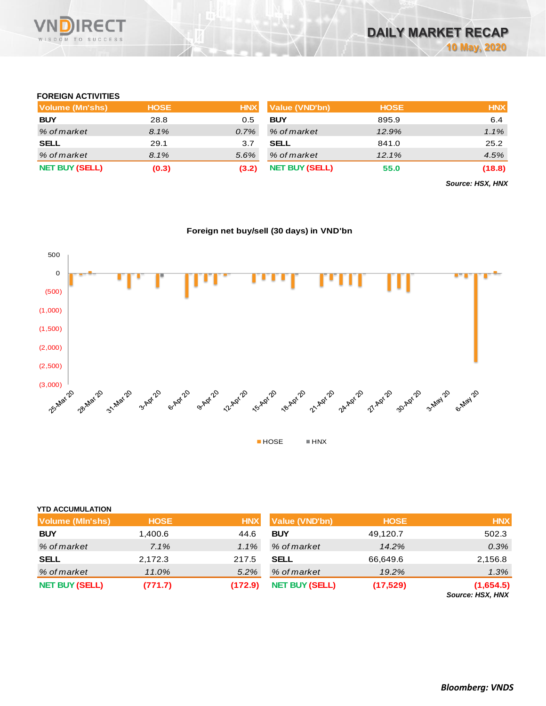

#### **FOREIGN ACTIVITIES**

| Volume (Mn'shs)       | <b>HOSE</b> | <b>HNX</b> | <b>Value (VND'bn)</b> | <b>HOSE</b> | <b>HNX</b> |
|-----------------------|-------------|------------|-----------------------|-------------|------------|
| <b>BUY</b>            | 28.8        | 0.5        | <b>BUY</b>            | 895.9       | 6.4        |
| % of market           | 8.1%        | $0.7\%$    | % of market           | 12.9%       | 1.1%       |
| <b>SELL</b>           | 29.1        | 3.7        | <b>SELL</b>           | 841.0       | 25.2       |
| % of market           | 8.1%        | 5.6%       | % of market           | 12.1%       | 4.5%       |
| <b>NET BUY (SELL)</b> | (0.3)       | (3.2)      | <b>NET BUY (SELL)</b> | 55.0        | (18.8)     |

*Source: HSX, HNX*

## **Foreign net buy/sell (30 days) in VND'bn**



| <b>YTD ACCUMULATION</b> |             |            |                       |             |                                                        |
|-------------------------|-------------|------------|-----------------------|-------------|--------------------------------------------------------|
| <b>Volume (MIn'shs)</b> | <b>HOSE</b> | <b>HNX</b> | Value (VND'bn)        | <b>HOSE</b> | <b>HNX</b>                                             |
| <b>BUY</b>              | 1,400.6     | 44.6       | <b>BUY</b>            | 49,120.7    | 502.3                                                  |
| % of market             | 7.1%        | 1.1%       | % of market           | 14.2%       | 0.3%                                                   |
| <b>SELL</b>             | 2,172.3     | 217.5      | <b>SELL</b>           | 66,649.6    | 2,156.8                                                |
| % of market             | 11.0%       | $5.2\%$    | % of market           | 19.2%       | 1.3%                                                   |
| <b>NET BUY (SELL)</b>   | (771.7)     | (172.9)    | <b>NET BUY (SELL)</b> | (17, 529)   | (1,654.5)<br>$\sim$ $\sim$ $\sim$ $\sim$ $\sim$ $\sim$ |

*Source: HSX, HNX*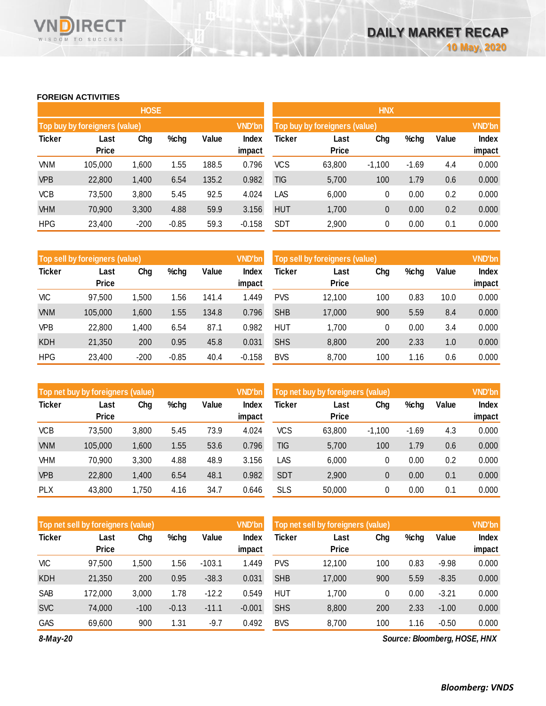#### **FOREIGN ACTIVITIES**

WISDOM TO SUCCESS

**RECT** 

VNĪ

|               |                               | <b>HOSE</b> |         |       |                 |            |                               | <b>HNX</b> |         |       |                 |
|---------------|-------------------------------|-------------|---------|-------|-----------------|------------|-------------------------------|------------|---------|-------|-----------------|
|               | Top buy by foreigners (value) |             |         |       | <b>VND'bn</b>   |            | Top buy by foreigners (value) |            |         |       | <b>VND'bn</b>   |
| <b>Ticker</b> | Last<br><b>Price</b>          | Chg         | %chg    | Value | Index<br>impact | Ticker     | Last<br><b>Price</b>          | Chg        | %chg    | Value | Index<br>impact |
| <b>VNM</b>    | 105,000                       | 1,600       | 1.55    | 188.5 | 0.796           | <b>VCS</b> | 63,800                        | $-1.100$   | $-1.69$ | 4.4   | 0.000           |
| <b>VPB</b>    | 22,800                        | 1,400       | 6.54    | 135.2 | 0.982           | TIG        | 5,700                         | 100        | 1.79    | 0.6   | 0.000           |
| <b>VCB</b>    | 73,500                        | 3,800       | 5.45    | 92.5  | 4.024           | LAS        | 6,000                         | 0          | 0.00    | 0.2   | 0.000           |
| <b>VHM</b>    | 70,900                        | 3,300       | 4.88    | 59.9  | 3.156           | <b>HUT</b> | 1,700                         | 0          | 0.00    | 0.2   | 0.000           |
| <b>HPG</b>    | 23,400                        | $-200$      | $-0.85$ | 59.3  | $-0.158$        | <b>SDT</b> | 2,900                         | 0          | 0.00    | 0.1   | 0.000           |

|               | Top sell by foreigners (value) |        |         |       | <b>VND'bn</b>   |            | Top sell by foreigners (value) |     |      |       | <b>VND'bn</b>          |
|---------------|--------------------------------|--------|---------|-------|-----------------|------------|--------------------------------|-----|------|-------|------------------------|
| <b>Ticker</b> | Last<br><b>Price</b>           | Chg    | %chg    | Value | Index<br>impact | Ticker     | Last<br><b>Price</b>           | Chg | %chg | Value | <b>Index</b><br>impact |
| <b>VIC</b>    | 97,500                         | 1,500  | l 56    | 141.4 | 1.449           | <b>PVS</b> | 12,100                         | 100 | 0.83 | 10.0  | 0.000                  |
| <b>VNM</b>    | 105,000                        | 1,600  | 1.55    | 134.8 | 0.796           | <b>SHB</b> | 17,000                         | 900 | 5.59 | 8.4   | 0.000                  |
| VPB           | 22,800                         | 1.400  | 6.54    | 87.1  | 0.982           | <b>HUT</b> | 1.700                          | 0   | 0.00 | 3.4   | 0.000                  |
| <b>KDH</b>    | 21,350                         | 200    | 0.95    | 45.8  | 0.031           | <b>SHS</b> | 8,800                          | 200 | 2.33 | 1.0   | 0.000                  |
| <b>HPG</b>    | 23,400                         | $-200$ | $-0.85$ | 40.4  | $-0.158$        | <b>BVS</b> | 8,700                          | 100 | 1.16 | 0.6   | 0.000                  |

|               | Top net buy by foreigners (value) |       |      |       | <b>VND'bn</b>   |            | Top net buy by foreigners (value) |          |         |       | <b>VND'bn</b>   |
|---------------|-----------------------------------|-------|------|-------|-----------------|------------|-----------------------------------|----------|---------|-------|-----------------|
| <b>Ticker</b> | Last<br><b>Price</b>              | Chg   | %chg | Value | Index<br>impact | Ticker     | Last<br><b>Price</b>              | Chg      | %chg    | Value | Index<br>impact |
| <b>VCB</b>    | 73.500                            |       | 5.45 | 73.9  | 4.024           | <b>VCS</b> | 63,800                            | $-1.100$ | $-1.69$ | 4.3   | 0.000           |
|               |                                   | 3,800 |      |       |                 |            |                                   |          |         |       |                 |
| <b>VNM</b>    | 105,000                           | 1,600 | 1.55 | 53.6  | 0.796           | TIG        | 5,700                             | 100      | 1.79    | 0.6   | 0.000           |
| VHM           | 70,900                            | 3,300 | 4.88 | 48.9  | 3.156           | LAS        | 6,000                             | 0        | 0.00    | 0.2   | 0.000           |
| <b>VPB</b>    | 22,800                            | 1,400 | 6.54 | 48.1  | 0.982           | <b>SDT</b> | 2,900                             | 0        | 0.00    | 0.1   | 0.000           |
| <b>PLX</b>    | 43,800                            | 1,750 | 4.16 | 34.7  | 0.646           | <b>SLS</b> | 50,000                            | 0        | 0.00    | 0.1   | 0.000           |

|               | Top net sell by foreigners (value) |        |         |          | <b>VND'bn</b> |            | Top net sell by foreigners (value) |     |      |         | <b>VND'bn</b> |
|---------------|------------------------------------|--------|---------|----------|---------------|------------|------------------------------------|-----|------|---------|---------------|
| <b>Ticker</b> | Last                               | Chg    | %chg    | Value    | Index         | Ticker     | Last                               | Chg | %chg | Value   | <b>Index</b>  |
|               | <b>Price</b>                       |        |         |          | impact        |            | <b>Price</b>                       |     |      |         | impact        |
| <b>VIC</b>    | 97,500                             | .500   | 1.56    | $-103.1$ | 1.449         | <b>PVS</b> | 12.100                             | 100 | 0.83 | $-9.98$ | 0.000         |
| <b>KDH</b>    | 21,350                             | 200    | 0.95    | $-38.3$  | 0.031         | <b>SHB</b> | 17,000                             | 900 | 5.59 | $-8.35$ | 0.000         |
| SAB           | 172,000                            | 3,000  | 1.78    | $-12.2$  | 0.549         | <b>HUT</b> | 1,700                              | 0   | 0.00 | $-3.21$ | 0.000         |
| <b>SVC</b>    | 74.000                             | $-100$ | $-0.13$ | $-11.1$  | $-0.001$      | <b>SHS</b> | 8,800                              | 200 | 2.33 | $-1.00$ | 0.000         |
| <b>GAS</b>    | 69,600                             | 900    | 1.31    | $-9.7$   | 0.492         | <b>BVS</b> | 8,700                              | 100 | 1.16 | $-0.50$ | 0.000         |

*8-May-20*

*Source: Bloomberg, HOSE, HNX*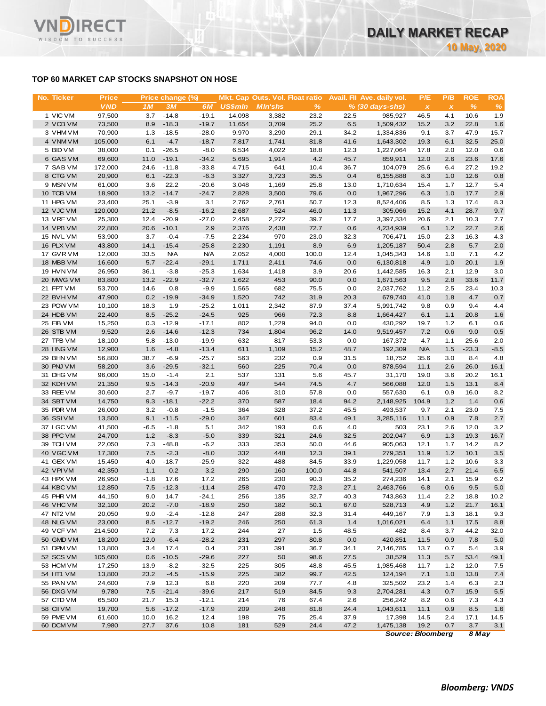## **TOP 60 MARKET CAP STOCKS SNAPSHOT ON HOSE**

| <b>VND</b><br>1M<br>3M<br>6M<br><b>US\$mln</b><br>$\%$<br>%<br><b>MIn'shs</b><br>$% (30 days-shs)$<br>$\pmb{\chi}$<br>$\pmb{\times}$<br>1 VIC VM<br>$-14.8$<br>97,500<br>3.7<br>$-19.1$<br>14.098<br>3,382<br>23.2<br>22.5<br>985.927<br>46.5<br>4.1<br>10.6<br>2 VCB VM<br>73,500<br>8.9<br>$-18.3$<br>$-19.7$<br>11,654<br>3,709<br>25.2<br>6.5<br>1,509,432<br>15.2<br>3.2<br>22.8<br>3 VHM VM<br>70,900<br>1.3<br>$-18.5$<br>$-28.0$<br>9,970<br>3,290<br>29.1<br>34.2<br>1,334,836<br>9.1<br>3.7<br>47.9<br>$-4.7$<br>4 VNM VM<br>105,000<br>6.1<br>$-18.7$<br>7,817<br>1,741<br>81.8<br>41.6<br>1,643,302<br>6.1<br>32.5<br>19.3<br>5 BID VM<br>38,000<br>0.1<br>$-26.5$<br>$-8.0$<br>6,534<br>4,022<br>18.8<br>12.3<br>1,227,064<br>17.8<br>2.0<br>12.0<br>4.2<br>6 GAS VM<br>69,600<br>11.0<br>$-19.1$<br>$-34.2$<br>5,695<br>1,914<br>45.7<br>12.0<br>2.6<br>23.6<br>859,911<br>7 SAB VM<br>172,000<br>24.6<br>$-11.8$<br>$-33.8$<br>4,715<br>641<br>10.4<br>36.7<br>104,079<br>25.6<br>6.4<br>27.2<br>8 CTG VM<br>20,900<br>6.1<br>$-22.3$<br>$-6.3$<br>3,327<br>3,723<br>35.5<br>0.4<br>6,155,888<br>8.3<br>1.0<br>12.6<br>9 MSN VM<br>61,000<br>3.6<br>22.2<br>$-20.6$<br>3,048<br>1,169<br>25.8<br>1,710,634<br>15.4<br>1.7<br>12.7<br>13.0<br>10 TCB VM<br>$-14.7$<br>17.7<br>18,900<br>13.2<br>$-24.7$<br>2,828<br>3,500<br>79.6<br>0.0<br>1,967,296<br>6.3<br>1.0<br>11 HPG VM<br>23,400<br>25.1<br>$-3.9$<br>3.1<br>2,762<br>2,761<br>50.7<br>12.3<br>8,524,406<br>8.5<br>17.4<br>1.3<br>524<br>12 VJC VM<br>120,000<br>21.2<br>$-8.5$<br>$-16.2$<br>2,687<br>46.0<br>11.3<br>305,066<br>15.2<br>4.1<br>28.7<br>13 VREVM<br>25,300<br>12.4<br>$-20.9$<br>$-27.0$<br>2,458<br>2,272<br>39.7<br>17.7<br>3,397,334<br>20.6<br>10.3<br>2.1<br>$-10.1$<br>2.9<br>22.7<br>14 VPB VM<br>22,800<br>20.6<br>2,376<br>2,438<br>72.7<br>0.6<br>4,234,939<br>6.1<br>1.2<br>15 NVL VM<br>53,900<br>3.7<br>$-0.4$<br>$-7.5$<br>2,234<br>970<br>23.0<br>32.3<br>706,471<br>15.0<br>2.3<br>16.3<br>16 PLX VM<br>43,800<br>14.1<br>$-15.4$<br>$-25.8$<br>2,230<br>1,191<br>8.9<br>6.9<br>1,205,187<br>2.8<br>5.7<br>50.4<br>17 GVR VM<br>12,000<br>33.5<br><b>N/A</b><br><b>N/A</b><br>2,052<br>4,000<br>100.0<br>12.4<br>1,045,343<br>1.0<br>7.1<br>14.6<br>18 MBB VM<br>16,600<br>5.7<br>$-22.4$<br>$-29.1$<br>1,711<br>2,411<br>74.6<br>0.0<br>6,130,818<br>4.9<br>1.0<br>20.1<br>19 HVN VM<br>36.1<br>$-3.8$<br>$-25.3$<br>1,634<br>3.9<br>2.1<br>12.9<br>26,950<br>1,418<br>20.6<br>1,442,585<br>16.3<br>20 MWG VM<br>83,800<br>13.2<br>$-22.9$<br>$-32.7$<br>1,622<br>453<br>90.0<br>0.0<br>9.5<br>2.8<br>33.6<br>1,671,563<br>21 FPT VM<br>53,700<br>0.8<br>$-9.9$<br>1,565<br>682<br>75.5<br>0.0<br>2,037,762<br>11.2<br>23.4<br>14.6<br>2.5<br>$-19.9$<br>742<br>22 BVHVM<br>47,900<br>0.2<br>$-34.9$<br>1,520<br>31.9<br>20.3<br>679,740<br>41.0<br>1.8<br>4.7<br>23 POW VM<br>10,100<br>18.3<br>1.9<br>$-25.2$<br>1,011<br>2,342<br>87.9<br>37.4<br>0.9<br>9.4<br>5,991,742<br>9.8<br>24 HDB VM<br>22,400<br>8.5<br>$-25.2$<br>$-24.5$<br>925<br>966<br>72.3<br>8.8<br>6.1<br>1.1<br>20.8<br>1,664,427<br>25 EIB VM<br>15,250<br>0.3<br>$-12.9$<br>$-17.1$<br>802<br>1,229<br>94.0<br>0.0<br>1.2<br>6.1<br>430,292<br>19.7<br>$-12.3$<br>26 STB VM<br>9,520<br>2.6<br>$-14.6$<br>734<br>1,804<br>96.2<br>14.0<br>9,519,457<br>7.2<br>0.6<br>9.0<br>27 TPB VM<br>5.8<br>$-13.0$<br>$-19.9$<br>632<br>817<br>53.3<br>0.0<br>4.7<br>25.6<br>18,100<br>167,372<br>1.1<br>28 HNG VM<br>12,900<br>1.6<br>$-4.8$<br>$-13.4$<br>611<br>1,109<br>15.2<br>48.7<br>192,309<br><b>N/A</b><br>1.5<br>$-23.3$<br>29 BHN VM<br>56,800<br>38.7<br>$-6.9$<br>$-25.7$<br>563<br>232<br>0.9<br>31.5<br>18,752<br>35.6<br>8.4<br>3.0<br>0.0<br>30 PNJ VM<br>58,200<br>3.6<br>$-29.5$<br>$-32.1$<br>560<br>225<br>70.4<br>878,594<br>11.1<br>2.6<br>26.0<br>31 DHG VM<br>96,000<br>15.0<br>$-1.4$<br>2.1<br>537<br>131<br>5.6<br>45.7<br>31,170<br>20.2<br>19.0<br>3.6<br>497<br>32 KDH VM<br>21,350<br>9.5<br>$-14.3$<br>$-20.9$<br>544<br>74.5<br>4.7<br>566,088<br>12.0<br>1.5<br>13.1<br>33 REE VM<br>30,600<br>2.7<br>$-9.7$<br>$-19.7$<br>406<br>310<br>57.8<br>0.0<br>557,630<br>6.1<br>0.9<br>16.0<br>34 SBT VM<br>14,750<br>9.3<br>$-18.1$<br>$-22.2$<br>370<br>587<br>18.4<br>94.2<br>2,148,925<br>104.9<br>1.2<br>1.4<br>35 PDR VM<br>26,000<br>3.2<br>$-0.8$<br>$-1.5$<br>364<br>328<br>37.2<br>45.5<br>493,537<br>9.7<br>2.1<br>23.0<br>36 SSI VM<br>13,500<br>9.1<br>$-11.5$<br>$-29.0$<br>347<br>601<br>83.4<br>49.1<br>7.8<br>3,285,116<br>11.1<br>0.9<br>37 LGC VM<br>41,500<br>$-6.5$<br>$-1.8$<br>342<br>193<br>0.6<br>4.0<br>503<br>23.1<br>2.6<br>12.0<br>5.1<br>38 PPC VM<br>1.2<br>$-8.3$<br>$-5.0$<br>339<br>321<br>24.6<br>32.5<br>202,047<br>6.9<br>1.3<br>19.3<br>24,700<br>39 TCH VM<br>22,050<br>7.3<br>$-48.8$<br>$-6.2$<br>333<br>353<br>50.0<br>44.6<br>905,063<br>12.1<br>14.2<br>1.7<br>40 VGC VM<br>7.5<br>$-2.3$<br>$-8.0$<br>332<br>448<br>39.1<br>11.9<br>1.2<br>10.1<br>17,300<br>12.3<br>279,351<br>41 GEX VM<br>$-18.7$<br>322<br>488<br>33.9<br>11.7<br>1.2<br>10.6<br>15,450<br>4.0<br>$-25.9$<br>84.5<br>1,229,058<br>42 VPIVM<br>42,350<br>290<br>21.4<br>1.1<br>0.2<br>3.2<br>160<br>100.0<br>44.8<br>541,507<br>2.7<br>13.4<br>43 HPX VM<br>26,950<br>$-1.8$<br>17.6<br>17.2<br>265<br>230<br>90.3<br>35.2<br>274,236<br>15.9<br>14.1<br>2.1<br>44 KBC VM<br>$-11.4$<br>470<br>12,850<br>7.5<br>$-12.3$<br>258<br>72.3<br>27.1<br>2,463,766<br>6.8<br>0.6<br>9.5<br>45 PHR VM<br>44,150<br>9.0<br>14.7<br>$-24.1$<br>256<br>135<br>32.7<br>40.3<br>743,863<br>11.4<br>2.2<br>18.8<br>46 VHC VM<br>20.2<br>$-7.0$<br>$-18.9$<br>250<br>182<br>67.0<br>528,713<br>1.2<br>21.7<br>32,100<br>50.1<br>4.9<br>47 NT2 VM<br>20,050<br>9.0<br>$-2.4$<br>$-12.8$<br>247<br>288<br>32.3<br>31.4<br>449,167<br>7.9<br>1.3<br>18.1<br>$-12.7$<br>250<br>48 NLG VM<br>23,000<br>8.5<br>$-19.2$<br>246<br>61.3<br>1.4<br>1,016,021<br>6.4<br>1.1<br>17.5<br>482<br>49 VCF VM<br>214,500<br>7.2<br>7.3<br>17.2<br>244<br>27<br>1.5<br>48.5<br>8.4<br>44.2<br>3.7<br>297<br>50 GMD VM<br>18,200<br>12.0<br>$-6.4$<br>$-28.2$<br>231<br>80.8<br>0.0<br>420,851<br>11.5<br>0.9<br>7.8<br>51 DPM VM<br>13,800<br>3.4<br>17.4<br>0.4<br>231<br>391<br>36.7<br>34.1<br>2,146,785<br>13.7<br>5.4<br>0.7<br>227<br>27.5<br>52 SCS VM<br>105,600<br>0.6<br>$-10.5$<br>$-29.6$<br>50<br>98.6<br>38,529<br>11.3<br>53.4<br>5.7<br>53 HCM VM<br>17,250<br>13.9<br>$-8.2$<br>$-32.5$<br>225<br>305<br>48.8<br>45.5<br>1,985,468<br>11.7<br>1.2<br>12.0<br>42.5<br>54 HT1 VM<br>13,800<br>23.2<br>$-4.5$<br>$-15.9$<br>225<br>382<br>99.7<br>124,194<br>7.1<br>1.0<br>13.8<br>55 PAN VM<br>7.9<br>12.3<br>6.8<br>209<br>77.7<br>24,600<br>220<br>4.8<br>325,502<br>23.2<br>1.4<br>6.3<br>56 DXG VM<br>9,780<br>7.5<br>$-21.4$<br>$-39.6$<br>217<br>519<br>84.5<br>9.3<br>2,704,281<br>4.3<br>0.7<br>15.9<br>57 CTD VM<br>65,500<br>21.7<br>15.3<br>$-12.1$<br>214<br>76<br>2.6<br>256,242<br>67.4<br>8.2<br>0.6<br>7.3<br>58 CII VM<br>19,700<br>5.6<br>$-17.2$<br>$-17.9$<br>209<br>248<br>24.4<br>1,043,611<br>11.1<br>0.9<br>8.5<br>81.8<br>59 PME VM<br>16.2<br>75<br>37.9<br>61,600<br>10.0<br>12.4<br>198<br>25.4<br>17,398<br>14.5<br>17.1<br>2.4<br>60 DCM VM<br>7,980<br>27.7<br>37.6<br>10.8<br>181<br>529<br>24.4<br>47.2<br>1,475,138<br>19.2<br>0.7<br>3.7 | No. Ticker | <b>Price</b> | Price change (%) |  |  | Mkt. Cap Outs. Vol. Float ratio Avail. Fil Ave. daily vol. | P/E | P/B | <b>ROE</b> | <b>ROA</b>   |
|---------------------------------------------------------------------------------------------------------------------------------------------------------------------------------------------------------------------------------------------------------------------------------------------------------------------------------------------------------------------------------------------------------------------------------------------------------------------------------------------------------------------------------------------------------------------------------------------------------------------------------------------------------------------------------------------------------------------------------------------------------------------------------------------------------------------------------------------------------------------------------------------------------------------------------------------------------------------------------------------------------------------------------------------------------------------------------------------------------------------------------------------------------------------------------------------------------------------------------------------------------------------------------------------------------------------------------------------------------------------------------------------------------------------------------------------------------------------------------------------------------------------------------------------------------------------------------------------------------------------------------------------------------------------------------------------------------------------------------------------------------------------------------------------------------------------------------------------------------------------------------------------------------------------------------------------------------------------------------------------------------------------------------------------------------------------------------------------------------------------------------------------------------------------------------------------------------------------------------------------------------------------------------------------------------------------------------------------------------------------------------------------------------------------------------------------------------------------------------------------------------------------------------------------------------------------------------------------------------------------------------------------------------------------------------------------------------------------------------------------------------------------------------------------------------------------------------------------------------------------------------------------------------------------------------------------------------------------------------------------------------------------------------------------------------------------------------------------------------------------------------------------------------------------------------------------------------------------------------------------------------------------------------------------------------------------------------------------------------------------------------------------------------------------------------------------------------------------------------------------------------------------------------------------------------------------------------------------------------------------------------------------------------------------------------------------------------------------------------------------------------------------------------------------------------------------------------------------------------------------------------------------------------------------------------------------------------------------------------------------------------------------------------------------------------------------------------------------------------------------------------------------------------------------------------------------------------------------------------------------------------------------------------------------------------------------------------------------------------------------------------------------------------------------------------------------------------------------------------------------------------------------------------------------------------------------------------------------------------------------------------------------------------------------------------------------------------------------------------------------------------------------------------------------------------------------------------------------------------------------------------------------------------------------------------------------------------------------------------------------------------------------------------------------------------------------------------------------------------------------------------------------------------------------------------------------------------------------------------------------------------------------------------------------------------------------------------------------------------------------------------------------------------------------------------------------------------------------------------------------------------------------------------------------------------------------------------------------------------------------------------------------------------------------------------------------------------------------------------------------------------------------------------------------------------------------------------------------------------------------------------------------------------------------------------------------------------------------------------------------------------------------------------------------------------------------------------------------------------------------------------------------------------------------------------------------------------------------------------------------------------------------------------------------------------------------------------------------------------------------------------------------------------------------------------------------------------------------------------------------------------------------------------------------------------------------------------------------------------------------------------------------------------------------------------------------------------------------------------------------------------------------------------------------------------------------------------------------------------------------------------------------------------------------------------------------------------------------------------------------------------------------------------------------------------------------------------------------------------------------------------------------------------------------------------------------------------------------------------------------------------------------------------------------------------------------------------------------------------------------------------|------------|--------------|------------------|--|--|------------------------------------------------------------|-----|-----|------------|--------------|
|                                                                                                                                                                                                                                                                                                                                                                                                                                                                                                                                                                                                                                                                                                                                                                                                                                                                                                                                                                                                                                                                                                                                                                                                                                                                                                                                                                                                                                                                                                                                                                                                                                                                                                                                                                                                                                                                                                                                                                                                                                                                                                                                                                                                                                                                                                                                                                                                                                                                                                                                                                                                                                                                                                                                                                                                                                                                                                                                                                                                                                                                                                                                                                                                                                                                                                                                                                                                                                                                                                                                                                                                                                                                                                                                                                                                                                                                                                                                                                                                                                                                                                                                                                                                                                                                                                                                                                                                                                                                                                                                                                                                                                                                                                                                                                                                                                                                                                                                                                                                                                                                                                                                                                                                                                                                                                                                                                                                                                                                                                                                                                                                                                                                                                                                                                                                                                                                                                                                                                                                                                                                                                                                                                                                                                                                                                                                                                                                                                                                                                                                                                                                                                                                                                                                                                                                                                                                                                                                                                                                                                                                                                                                                                                                                                                                                                                                                                                 |            |              |                  |  |  |                                                            |     |     |            | %            |
|                                                                                                                                                                                                                                                                                                                                                                                                                                                                                                                                                                                                                                                                                                                                                                                                                                                                                                                                                                                                                                                                                                                                                                                                                                                                                                                                                                                                                                                                                                                                                                                                                                                                                                                                                                                                                                                                                                                                                                                                                                                                                                                                                                                                                                                                                                                                                                                                                                                                                                                                                                                                                                                                                                                                                                                                                                                                                                                                                                                                                                                                                                                                                                                                                                                                                                                                                                                                                                                                                                                                                                                                                                                                                                                                                                                                                                                                                                                                                                                                                                                                                                                                                                                                                                                                                                                                                                                                                                                                                                                                                                                                                                                                                                                                                                                                                                                                                                                                                                                                                                                                                                                                                                                                                                                                                                                                                                                                                                                                                                                                                                                                                                                                                                                                                                                                                                                                                                                                                                                                                                                                                                                                                                                                                                                                                                                                                                                                                                                                                                                                                                                                                                                                                                                                                                                                                                                                                                                                                                                                                                                                                                                                                                                                                                                                                                                                                                                 |            |              |                  |  |  |                                                            |     |     |            | 1.9          |
|                                                                                                                                                                                                                                                                                                                                                                                                                                                                                                                                                                                                                                                                                                                                                                                                                                                                                                                                                                                                                                                                                                                                                                                                                                                                                                                                                                                                                                                                                                                                                                                                                                                                                                                                                                                                                                                                                                                                                                                                                                                                                                                                                                                                                                                                                                                                                                                                                                                                                                                                                                                                                                                                                                                                                                                                                                                                                                                                                                                                                                                                                                                                                                                                                                                                                                                                                                                                                                                                                                                                                                                                                                                                                                                                                                                                                                                                                                                                                                                                                                                                                                                                                                                                                                                                                                                                                                                                                                                                                                                                                                                                                                                                                                                                                                                                                                                                                                                                                                                                                                                                                                                                                                                                                                                                                                                                                                                                                                                                                                                                                                                                                                                                                                                                                                                                                                                                                                                                                                                                                                                                                                                                                                                                                                                                                                                                                                                                                                                                                                                                                                                                                                                                                                                                                                                                                                                                                                                                                                                                                                                                                                                                                                                                                                                                                                                                                                                 |            |              |                  |  |  |                                                            |     |     |            | 1.6          |
|                                                                                                                                                                                                                                                                                                                                                                                                                                                                                                                                                                                                                                                                                                                                                                                                                                                                                                                                                                                                                                                                                                                                                                                                                                                                                                                                                                                                                                                                                                                                                                                                                                                                                                                                                                                                                                                                                                                                                                                                                                                                                                                                                                                                                                                                                                                                                                                                                                                                                                                                                                                                                                                                                                                                                                                                                                                                                                                                                                                                                                                                                                                                                                                                                                                                                                                                                                                                                                                                                                                                                                                                                                                                                                                                                                                                                                                                                                                                                                                                                                                                                                                                                                                                                                                                                                                                                                                                                                                                                                                                                                                                                                                                                                                                                                                                                                                                                                                                                                                                                                                                                                                                                                                                                                                                                                                                                                                                                                                                                                                                                                                                                                                                                                                                                                                                                                                                                                                                                                                                                                                                                                                                                                                                                                                                                                                                                                                                                                                                                                                                                                                                                                                                                                                                                                                                                                                                                                                                                                                                                                                                                                                                                                                                                                                                                                                                                                                 |            |              |                  |  |  |                                                            |     |     |            | 15.7         |
|                                                                                                                                                                                                                                                                                                                                                                                                                                                                                                                                                                                                                                                                                                                                                                                                                                                                                                                                                                                                                                                                                                                                                                                                                                                                                                                                                                                                                                                                                                                                                                                                                                                                                                                                                                                                                                                                                                                                                                                                                                                                                                                                                                                                                                                                                                                                                                                                                                                                                                                                                                                                                                                                                                                                                                                                                                                                                                                                                                                                                                                                                                                                                                                                                                                                                                                                                                                                                                                                                                                                                                                                                                                                                                                                                                                                                                                                                                                                                                                                                                                                                                                                                                                                                                                                                                                                                                                                                                                                                                                                                                                                                                                                                                                                                                                                                                                                                                                                                                                                                                                                                                                                                                                                                                                                                                                                                                                                                                                                                                                                                                                                                                                                                                                                                                                                                                                                                                                                                                                                                                                                                                                                                                                                                                                                                                                                                                                                                                                                                                                                                                                                                                                                                                                                                                                                                                                                                                                                                                                                                                                                                                                                                                                                                                                                                                                                                                                 |            |              |                  |  |  |                                                            |     |     |            | 25.0         |
|                                                                                                                                                                                                                                                                                                                                                                                                                                                                                                                                                                                                                                                                                                                                                                                                                                                                                                                                                                                                                                                                                                                                                                                                                                                                                                                                                                                                                                                                                                                                                                                                                                                                                                                                                                                                                                                                                                                                                                                                                                                                                                                                                                                                                                                                                                                                                                                                                                                                                                                                                                                                                                                                                                                                                                                                                                                                                                                                                                                                                                                                                                                                                                                                                                                                                                                                                                                                                                                                                                                                                                                                                                                                                                                                                                                                                                                                                                                                                                                                                                                                                                                                                                                                                                                                                                                                                                                                                                                                                                                                                                                                                                                                                                                                                                                                                                                                                                                                                                                                                                                                                                                                                                                                                                                                                                                                                                                                                                                                                                                                                                                                                                                                                                                                                                                                                                                                                                                                                                                                                                                                                                                                                                                                                                                                                                                                                                                                                                                                                                                                                                                                                                                                                                                                                                                                                                                                                                                                                                                                                                                                                                                                                                                                                                                                                                                                                                                 |            |              |                  |  |  |                                                            |     |     |            | 0.6          |
|                                                                                                                                                                                                                                                                                                                                                                                                                                                                                                                                                                                                                                                                                                                                                                                                                                                                                                                                                                                                                                                                                                                                                                                                                                                                                                                                                                                                                                                                                                                                                                                                                                                                                                                                                                                                                                                                                                                                                                                                                                                                                                                                                                                                                                                                                                                                                                                                                                                                                                                                                                                                                                                                                                                                                                                                                                                                                                                                                                                                                                                                                                                                                                                                                                                                                                                                                                                                                                                                                                                                                                                                                                                                                                                                                                                                                                                                                                                                                                                                                                                                                                                                                                                                                                                                                                                                                                                                                                                                                                                                                                                                                                                                                                                                                                                                                                                                                                                                                                                                                                                                                                                                                                                                                                                                                                                                                                                                                                                                                                                                                                                                                                                                                                                                                                                                                                                                                                                                                                                                                                                                                                                                                                                                                                                                                                                                                                                                                                                                                                                                                                                                                                                                                                                                                                                                                                                                                                                                                                                                                                                                                                                                                                                                                                                                                                                                                                                 |            |              |                  |  |  |                                                            |     |     |            | 17.6         |
|                                                                                                                                                                                                                                                                                                                                                                                                                                                                                                                                                                                                                                                                                                                                                                                                                                                                                                                                                                                                                                                                                                                                                                                                                                                                                                                                                                                                                                                                                                                                                                                                                                                                                                                                                                                                                                                                                                                                                                                                                                                                                                                                                                                                                                                                                                                                                                                                                                                                                                                                                                                                                                                                                                                                                                                                                                                                                                                                                                                                                                                                                                                                                                                                                                                                                                                                                                                                                                                                                                                                                                                                                                                                                                                                                                                                                                                                                                                                                                                                                                                                                                                                                                                                                                                                                                                                                                                                                                                                                                                                                                                                                                                                                                                                                                                                                                                                                                                                                                                                                                                                                                                                                                                                                                                                                                                                                                                                                                                                                                                                                                                                                                                                                                                                                                                                                                                                                                                                                                                                                                                                                                                                                                                                                                                                                                                                                                                                                                                                                                                                                                                                                                                                                                                                                                                                                                                                                                                                                                                                                                                                                                                                                                                                                                                                                                                                                                                 |            |              |                  |  |  |                                                            |     |     |            | 19.2         |
|                                                                                                                                                                                                                                                                                                                                                                                                                                                                                                                                                                                                                                                                                                                                                                                                                                                                                                                                                                                                                                                                                                                                                                                                                                                                                                                                                                                                                                                                                                                                                                                                                                                                                                                                                                                                                                                                                                                                                                                                                                                                                                                                                                                                                                                                                                                                                                                                                                                                                                                                                                                                                                                                                                                                                                                                                                                                                                                                                                                                                                                                                                                                                                                                                                                                                                                                                                                                                                                                                                                                                                                                                                                                                                                                                                                                                                                                                                                                                                                                                                                                                                                                                                                                                                                                                                                                                                                                                                                                                                                                                                                                                                                                                                                                                                                                                                                                                                                                                                                                                                                                                                                                                                                                                                                                                                                                                                                                                                                                                                                                                                                                                                                                                                                                                                                                                                                                                                                                                                                                                                                                                                                                                                                                                                                                                                                                                                                                                                                                                                                                                                                                                                                                                                                                                                                                                                                                                                                                                                                                                                                                                                                                                                                                                                                                                                                                                                                 |            |              |                  |  |  |                                                            |     |     |            | 0.8          |
|                                                                                                                                                                                                                                                                                                                                                                                                                                                                                                                                                                                                                                                                                                                                                                                                                                                                                                                                                                                                                                                                                                                                                                                                                                                                                                                                                                                                                                                                                                                                                                                                                                                                                                                                                                                                                                                                                                                                                                                                                                                                                                                                                                                                                                                                                                                                                                                                                                                                                                                                                                                                                                                                                                                                                                                                                                                                                                                                                                                                                                                                                                                                                                                                                                                                                                                                                                                                                                                                                                                                                                                                                                                                                                                                                                                                                                                                                                                                                                                                                                                                                                                                                                                                                                                                                                                                                                                                                                                                                                                                                                                                                                                                                                                                                                                                                                                                                                                                                                                                                                                                                                                                                                                                                                                                                                                                                                                                                                                                                                                                                                                                                                                                                                                                                                                                                                                                                                                                                                                                                                                                                                                                                                                                                                                                                                                                                                                                                                                                                                                                                                                                                                                                                                                                                                                                                                                                                                                                                                                                                                                                                                                                                                                                                                                                                                                                                                                 |            |              |                  |  |  |                                                            |     |     |            | 5.4          |
|                                                                                                                                                                                                                                                                                                                                                                                                                                                                                                                                                                                                                                                                                                                                                                                                                                                                                                                                                                                                                                                                                                                                                                                                                                                                                                                                                                                                                                                                                                                                                                                                                                                                                                                                                                                                                                                                                                                                                                                                                                                                                                                                                                                                                                                                                                                                                                                                                                                                                                                                                                                                                                                                                                                                                                                                                                                                                                                                                                                                                                                                                                                                                                                                                                                                                                                                                                                                                                                                                                                                                                                                                                                                                                                                                                                                                                                                                                                                                                                                                                                                                                                                                                                                                                                                                                                                                                                                                                                                                                                                                                                                                                                                                                                                                                                                                                                                                                                                                                                                                                                                                                                                                                                                                                                                                                                                                                                                                                                                                                                                                                                                                                                                                                                                                                                                                                                                                                                                                                                                                                                                                                                                                                                                                                                                                                                                                                                                                                                                                                                                                                                                                                                                                                                                                                                                                                                                                                                                                                                                                                                                                                                                                                                                                                                                                                                                                                                 |            |              |                  |  |  |                                                            |     |     |            | 2.9          |
|                                                                                                                                                                                                                                                                                                                                                                                                                                                                                                                                                                                                                                                                                                                                                                                                                                                                                                                                                                                                                                                                                                                                                                                                                                                                                                                                                                                                                                                                                                                                                                                                                                                                                                                                                                                                                                                                                                                                                                                                                                                                                                                                                                                                                                                                                                                                                                                                                                                                                                                                                                                                                                                                                                                                                                                                                                                                                                                                                                                                                                                                                                                                                                                                                                                                                                                                                                                                                                                                                                                                                                                                                                                                                                                                                                                                                                                                                                                                                                                                                                                                                                                                                                                                                                                                                                                                                                                                                                                                                                                                                                                                                                                                                                                                                                                                                                                                                                                                                                                                                                                                                                                                                                                                                                                                                                                                                                                                                                                                                                                                                                                                                                                                                                                                                                                                                                                                                                                                                                                                                                                                                                                                                                                                                                                                                                                                                                                                                                                                                                                                                                                                                                                                                                                                                                                                                                                                                                                                                                                                                                                                                                                                                                                                                                                                                                                                                                                 |            |              |                  |  |  |                                                            |     |     |            | 8.3          |
|                                                                                                                                                                                                                                                                                                                                                                                                                                                                                                                                                                                                                                                                                                                                                                                                                                                                                                                                                                                                                                                                                                                                                                                                                                                                                                                                                                                                                                                                                                                                                                                                                                                                                                                                                                                                                                                                                                                                                                                                                                                                                                                                                                                                                                                                                                                                                                                                                                                                                                                                                                                                                                                                                                                                                                                                                                                                                                                                                                                                                                                                                                                                                                                                                                                                                                                                                                                                                                                                                                                                                                                                                                                                                                                                                                                                                                                                                                                                                                                                                                                                                                                                                                                                                                                                                                                                                                                                                                                                                                                                                                                                                                                                                                                                                                                                                                                                                                                                                                                                                                                                                                                                                                                                                                                                                                                                                                                                                                                                                                                                                                                                                                                                                                                                                                                                                                                                                                                                                                                                                                                                                                                                                                                                                                                                                                                                                                                                                                                                                                                                                                                                                                                                                                                                                                                                                                                                                                                                                                                                                                                                                                                                                                                                                                                                                                                                                                                 |            |              |                  |  |  |                                                            |     |     |            | 9.7          |
|                                                                                                                                                                                                                                                                                                                                                                                                                                                                                                                                                                                                                                                                                                                                                                                                                                                                                                                                                                                                                                                                                                                                                                                                                                                                                                                                                                                                                                                                                                                                                                                                                                                                                                                                                                                                                                                                                                                                                                                                                                                                                                                                                                                                                                                                                                                                                                                                                                                                                                                                                                                                                                                                                                                                                                                                                                                                                                                                                                                                                                                                                                                                                                                                                                                                                                                                                                                                                                                                                                                                                                                                                                                                                                                                                                                                                                                                                                                                                                                                                                                                                                                                                                                                                                                                                                                                                                                                                                                                                                                                                                                                                                                                                                                                                                                                                                                                                                                                                                                                                                                                                                                                                                                                                                                                                                                                                                                                                                                                                                                                                                                                                                                                                                                                                                                                                                                                                                                                                                                                                                                                                                                                                                                                                                                                                                                                                                                                                                                                                                                                                                                                                                                                                                                                                                                                                                                                                                                                                                                                                                                                                                                                                                                                                                                                                                                                                                                 |            |              |                  |  |  |                                                            |     |     |            | 7.7          |
|                                                                                                                                                                                                                                                                                                                                                                                                                                                                                                                                                                                                                                                                                                                                                                                                                                                                                                                                                                                                                                                                                                                                                                                                                                                                                                                                                                                                                                                                                                                                                                                                                                                                                                                                                                                                                                                                                                                                                                                                                                                                                                                                                                                                                                                                                                                                                                                                                                                                                                                                                                                                                                                                                                                                                                                                                                                                                                                                                                                                                                                                                                                                                                                                                                                                                                                                                                                                                                                                                                                                                                                                                                                                                                                                                                                                                                                                                                                                                                                                                                                                                                                                                                                                                                                                                                                                                                                                                                                                                                                                                                                                                                                                                                                                                                                                                                                                                                                                                                                                                                                                                                                                                                                                                                                                                                                                                                                                                                                                                                                                                                                                                                                                                                                                                                                                                                                                                                                                                                                                                                                                                                                                                                                                                                                                                                                                                                                                                                                                                                                                                                                                                                                                                                                                                                                                                                                                                                                                                                                                                                                                                                                                                                                                                                                                                                                                                                                 |            |              |                  |  |  |                                                            |     |     |            | 2.6          |
|                                                                                                                                                                                                                                                                                                                                                                                                                                                                                                                                                                                                                                                                                                                                                                                                                                                                                                                                                                                                                                                                                                                                                                                                                                                                                                                                                                                                                                                                                                                                                                                                                                                                                                                                                                                                                                                                                                                                                                                                                                                                                                                                                                                                                                                                                                                                                                                                                                                                                                                                                                                                                                                                                                                                                                                                                                                                                                                                                                                                                                                                                                                                                                                                                                                                                                                                                                                                                                                                                                                                                                                                                                                                                                                                                                                                                                                                                                                                                                                                                                                                                                                                                                                                                                                                                                                                                                                                                                                                                                                                                                                                                                                                                                                                                                                                                                                                                                                                                                                                                                                                                                                                                                                                                                                                                                                                                                                                                                                                                                                                                                                                                                                                                                                                                                                                                                                                                                                                                                                                                                                                                                                                                                                                                                                                                                                                                                                                                                                                                                                                                                                                                                                                                                                                                                                                                                                                                                                                                                                                                                                                                                                                                                                                                                                                                                                                                                                 |            |              |                  |  |  |                                                            |     |     |            | 4.3          |
|                                                                                                                                                                                                                                                                                                                                                                                                                                                                                                                                                                                                                                                                                                                                                                                                                                                                                                                                                                                                                                                                                                                                                                                                                                                                                                                                                                                                                                                                                                                                                                                                                                                                                                                                                                                                                                                                                                                                                                                                                                                                                                                                                                                                                                                                                                                                                                                                                                                                                                                                                                                                                                                                                                                                                                                                                                                                                                                                                                                                                                                                                                                                                                                                                                                                                                                                                                                                                                                                                                                                                                                                                                                                                                                                                                                                                                                                                                                                                                                                                                                                                                                                                                                                                                                                                                                                                                                                                                                                                                                                                                                                                                                                                                                                                                                                                                                                                                                                                                                                                                                                                                                                                                                                                                                                                                                                                                                                                                                                                                                                                                                                                                                                                                                                                                                                                                                                                                                                                                                                                                                                                                                                                                                                                                                                                                                                                                                                                                                                                                                                                                                                                                                                                                                                                                                                                                                                                                                                                                                                                                                                                                                                                                                                                                                                                                                                                                                 |            |              |                  |  |  |                                                            |     |     |            | 2.0          |
|                                                                                                                                                                                                                                                                                                                                                                                                                                                                                                                                                                                                                                                                                                                                                                                                                                                                                                                                                                                                                                                                                                                                                                                                                                                                                                                                                                                                                                                                                                                                                                                                                                                                                                                                                                                                                                                                                                                                                                                                                                                                                                                                                                                                                                                                                                                                                                                                                                                                                                                                                                                                                                                                                                                                                                                                                                                                                                                                                                                                                                                                                                                                                                                                                                                                                                                                                                                                                                                                                                                                                                                                                                                                                                                                                                                                                                                                                                                                                                                                                                                                                                                                                                                                                                                                                                                                                                                                                                                                                                                                                                                                                                                                                                                                                                                                                                                                                                                                                                                                                                                                                                                                                                                                                                                                                                                                                                                                                                                                                                                                                                                                                                                                                                                                                                                                                                                                                                                                                                                                                                                                                                                                                                                                                                                                                                                                                                                                                                                                                                                                                                                                                                                                                                                                                                                                                                                                                                                                                                                                                                                                                                                                                                                                                                                                                                                                                                                 |            |              |                  |  |  |                                                            |     |     |            | 4.2          |
|                                                                                                                                                                                                                                                                                                                                                                                                                                                                                                                                                                                                                                                                                                                                                                                                                                                                                                                                                                                                                                                                                                                                                                                                                                                                                                                                                                                                                                                                                                                                                                                                                                                                                                                                                                                                                                                                                                                                                                                                                                                                                                                                                                                                                                                                                                                                                                                                                                                                                                                                                                                                                                                                                                                                                                                                                                                                                                                                                                                                                                                                                                                                                                                                                                                                                                                                                                                                                                                                                                                                                                                                                                                                                                                                                                                                                                                                                                                                                                                                                                                                                                                                                                                                                                                                                                                                                                                                                                                                                                                                                                                                                                                                                                                                                                                                                                                                                                                                                                                                                                                                                                                                                                                                                                                                                                                                                                                                                                                                                                                                                                                                                                                                                                                                                                                                                                                                                                                                                                                                                                                                                                                                                                                                                                                                                                                                                                                                                                                                                                                                                                                                                                                                                                                                                                                                                                                                                                                                                                                                                                                                                                                                                                                                                                                                                                                                                                                 |            |              |                  |  |  |                                                            |     |     |            | 1.9          |
|                                                                                                                                                                                                                                                                                                                                                                                                                                                                                                                                                                                                                                                                                                                                                                                                                                                                                                                                                                                                                                                                                                                                                                                                                                                                                                                                                                                                                                                                                                                                                                                                                                                                                                                                                                                                                                                                                                                                                                                                                                                                                                                                                                                                                                                                                                                                                                                                                                                                                                                                                                                                                                                                                                                                                                                                                                                                                                                                                                                                                                                                                                                                                                                                                                                                                                                                                                                                                                                                                                                                                                                                                                                                                                                                                                                                                                                                                                                                                                                                                                                                                                                                                                                                                                                                                                                                                                                                                                                                                                                                                                                                                                                                                                                                                                                                                                                                                                                                                                                                                                                                                                                                                                                                                                                                                                                                                                                                                                                                                                                                                                                                                                                                                                                                                                                                                                                                                                                                                                                                                                                                                                                                                                                                                                                                                                                                                                                                                                                                                                                                                                                                                                                                                                                                                                                                                                                                                                                                                                                                                                                                                                                                                                                                                                                                                                                                                                                 |            |              |                  |  |  |                                                            |     |     |            | 3.0          |
|                                                                                                                                                                                                                                                                                                                                                                                                                                                                                                                                                                                                                                                                                                                                                                                                                                                                                                                                                                                                                                                                                                                                                                                                                                                                                                                                                                                                                                                                                                                                                                                                                                                                                                                                                                                                                                                                                                                                                                                                                                                                                                                                                                                                                                                                                                                                                                                                                                                                                                                                                                                                                                                                                                                                                                                                                                                                                                                                                                                                                                                                                                                                                                                                                                                                                                                                                                                                                                                                                                                                                                                                                                                                                                                                                                                                                                                                                                                                                                                                                                                                                                                                                                                                                                                                                                                                                                                                                                                                                                                                                                                                                                                                                                                                                                                                                                                                                                                                                                                                                                                                                                                                                                                                                                                                                                                                                                                                                                                                                                                                                                                                                                                                                                                                                                                                                                                                                                                                                                                                                                                                                                                                                                                                                                                                                                                                                                                                                                                                                                                                                                                                                                                                                                                                                                                                                                                                                                                                                                                                                                                                                                                                                                                                                                                                                                                                                                                 |            |              |                  |  |  |                                                            |     |     |            | 11.7<br>10.3 |
|                                                                                                                                                                                                                                                                                                                                                                                                                                                                                                                                                                                                                                                                                                                                                                                                                                                                                                                                                                                                                                                                                                                                                                                                                                                                                                                                                                                                                                                                                                                                                                                                                                                                                                                                                                                                                                                                                                                                                                                                                                                                                                                                                                                                                                                                                                                                                                                                                                                                                                                                                                                                                                                                                                                                                                                                                                                                                                                                                                                                                                                                                                                                                                                                                                                                                                                                                                                                                                                                                                                                                                                                                                                                                                                                                                                                                                                                                                                                                                                                                                                                                                                                                                                                                                                                                                                                                                                                                                                                                                                                                                                                                                                                                                                                                                                                                                                                                                                                                                                                                                                                                                                                                                                                                                                                                                                                                                                                                                                                                                                                                                                                                                                                                                                                                                                                                                                                                                                                                                                                                                                                                                                                                                                                                                                                                                                                                                                                                                                                                                                                                                                                                                                                                                                                                                                                                                                                                                                                                                                                                                                                                                                                                                                                                                                                                                                                                                                 |            |              |                  |  |  |                                                            |     |     |            | 0.7          |
|                                                                                                                                                                                                                                                                                                                                                                                                                                                                                                                                                                                                                                                                                                                                                                                                                                                                                                                                                                                                                                                                                                                                                                                                                                                                                                                                                                                                                                                                                                                                                                                                                                                                                                                                                                                                                                                                                                                                                                                                                                                                                                                                                                                                                                                                                                                                                                                                                                                                                                                                                                                                                                                                                                                                                                                                                                                                                                                                                                                                                                                                                                                                                                                                                                                                                                                                                                                                                                                                                                                                                                                                                                                                                                                                                                                                                                                                                                                                                                                                                                                                                                                                                                                                                                                                                                                                                                                                                                                                                                                                                                                                                                                                                                                                                                                                                                                                                                                                                                                                                                                                                                                                                                                                                                                                                                                                                                                                                                                                                                                                                                                                                                                                                                                                                                                                                                                                                                                                                                                                                                                                                                                                                                                                                                                                                                                                                                                                                                                                                                                                                                                                                                                                                                                                                                                                                                                                                                                                                                                                                                                                                                                                                                                                                                                                                                                                                                                 |            |              |                  |  |  |                                                            |     |     |            | 4.4          |
|                                                                                                                                                                                                                                                                                                                                                                                                                                                                                                                                                                                                                                                                                                                                                                                                                                                                                                                                                                                                                                                                                                                                                                                                                                                                                                                                                                                                                                                                                                                                                                                                                                                                                                                                                                                                                                                                                                                                                                                                                                                                                                                                                                                                                                                                                                                                                                                                                                                                                                                                                                                                                                                                                                                                                                                                                                                                                                                                                                                                                                                                                                                                                                                                                                                                                                                                                                                                                                                                                                                                                                                                                                                                                                                                                                                                                                                                                                                                                                                                                                                                                                                                                                                                                                                                                                                                                                                                                                                                                                                                                                                                                                                                                                                                                                                                                                                                                                                                                                                                                                                                                                                                                                                                                                                                                                                                                                                                                                                                                                                                                                                                                                                                                                                                                                                                                                                                                                                                                                                                                                                                                                                                                                                                                                                                                                                                                                                                                                                                                                                                                                                                                                                                                                                                                                                                                                                                                                                                                                                                                                                                                                                                                                                                                                                                                                                                                                                 |            |              |                  |  |  |                                                            |     |     |            | 1.6          |
|                                                                                                                                                                                                                                                                                                                                                                                                                                                                                                                                                                                                                                                                                                                                                                                                                                                                                                                                                                                                                                                                                                                                                                                                                                                                                                                                                                                                                                                                                                                                                                                                                                                                                                                                                                                                                                                                                                                                                                                                                                                                                                                                                                                                                                                                                                                                                                                                                                                                                                                                                                                                                                                                                                                                                                                                                                                                                                                                                                                                                                                                                                                                                                                                                                                                                                                                                                                                                                                                                                                                                                                                                                                                                                                                                                                                                                                                                                                                                                                                                                                                                                                                                                                                                                                                                                                                                                                                                                                                                                                                                                                                                                                                                                                                                                                                                                                                                                                                                                                                                                                                                                                                                                                                                                                                                                                                                                                                                                                                                                                                                                                                                                                                                                                                                                                                                                                                                                                                                                                                                                                                                                                                                                                                                                                                                                                                                                                                                                                                                                                                                                                                                                                                                                                                                                                                                                                                                                                                                                                                                                                                                                                                                                                                                                                                                                                                                                                 |            |              |                  |  |  |                                                            |     |     |            | 0.6          |
|                                                                                                                                                                                                                                                                                                                                                                                                                                                                                                                                                                                                                                                                                                                                                                                                                                                                                                                                                                                                                                                                                                                                                                                                                                                                                                                                                                                                                                                                                                                                                                                                                                                                                                                                                                                                                                                                                                                                                                                                                                                                                                                                                                                                                                                                                                                                                                                                                                                                                                                                                                                                                                                                                                                                                                                                                                                                                                                                                                                                                                                                                                                                                                                                                                                                                                                                                                                                                                                                                                                                                                                                                                                                                                                                                                                                                                                                                                                                                                                                                                                                                                                                                                                                                                                                                                                                                                                                                                                                                                                                                                                                                                                                                                                                                                                                                                                                                                                                                                                                                                                                                                                                                                                                                                                                                                                                                                                                                                                                                                                                                                                                                                                                                                                                                                                                                                                                                                                                                                                                                                                                                                                                                                                                                                                                                                                                                                                                                                                                                                                                                                                                                                                                                                                                                                                                                                                                                                                                                                                                                                                                                                                                                                                                                                                                                                                                                                                 |            |              |                  |  |  |                                                            |     |     |            | 0.5          |
|                                                                                                                                                                                                                                                                                                                                                                                                                                                                                                                                                                                                                                                                                                                                                                                                                                                                                                                                                                                                                                                                                                                                                                                                                                                                                                                                                                                                                                                                                                                                                                                                                                                                                                                                                                                                                                                                                                                                                                                                                                                                                                                                                                                                                                                                                                                                                                                                                                                                                                                                                                                                                                                                                                                                                                                                                                                                                                                                                                                                                                                                                                                                                                                                                                                                                                                                                                                                                                                                                                                                                                                                                                                                                                                                                                                                                                                                                                                                                                                                                                                                                                                                                                                                                                                                                                                                                                                                                                                                                                                                                                                                                                                                                                                                                                                                                                                                                                                                                                                                                                                                                                                                                                                                                                                                                                                                                                                                                                                                                                                                                                                                                                                                                                                                                                                                                                                                                                                                                                                                                                                                                                                                                                                                                                                                                                                                                                                                                                                                                                                                                                                                                                                                                                                                                                                                                                                                                                                                                                                                                                                                                                                                                                                                                                                                                                                                                                                 |            |              |                  |  |  |                                                            |     |     |            | 2.0          |
|                                                                                                                                                                                                                                                                                                                                                                                                                                                                                                                                                                                                                                                                                                                                                                                                                                                                                                                                                                                                                                                                                                                                                                                                                                                                                                                                                                                                                                                                                                                                                                                                                                                                                                                                                                                                                                                                                                                                                                                                                                                                                                                                                                                                                                                                                                                                                                                                                                                                                                                                                                                                                                                                                                                                                                                                                                                                                                                                                                                                                                                                                                                                                                                                                                                                                                                                                                                                                                                                                                                                                                                                                                                                                                                                                                                                                                                                                                                                                                                                                                                                                                                                                                                                                                                                                                                                                                                                                                                                                                                                                                                                                                                                                                                                                                                                                                                                                                                                                                                                                                                                                                                                                                                                                                                                                                                                                                                                                                                                                                                                                                                                                                                                                                                                                                                                                                                                                                                                                                                                                                                                                                                                                                                                                                                                                                                                                                                                                                                                                                                                                                                                                                                                                                                                                                                                                                                                                                                                                                                                                                                                                                                                                                                                                                                                                                                                                                                 |            |              |                  |  |  |                                                            |     |     |            | $-8.5$       |
|                                                                                                                                                                                                                                                                                                                                                                                                                                                                                                                                                                                                                                                                                                                                                                                                                                                                                                                                                                                                                                                                                                                                                                                                                                                                                                                                                                                                                                                                                                                                                                                                                                                                                                                                                                                                                                                                                                                                                                                                                                                                                                                                                                                                                                                                                                                                                                                                                                                                                                                                                                                                                                                                                                                                                                                                                                                                                                                                                                                                                                                                                                                                                                                                                                                                                                                                                                                                                                                                                                                                                                                                                                                                                                                                                                                                                                                                                                                                                                                                                                                                                                                                                                                                                                                                                                                                                                                                                                                                                                                                                                                                                                                                                                                                                                                                                                                                                                                                                                                                                                                                                                                                                                                                                                                                                                                                                                                                                                                                                                                                                                                                                                                                                                                                                                                                                                                                                                                                                                                                                                                                                                                                                                                                                                                                                                                                                                                                                                                                                                                                                                                                                                                                                                                                                                                                                                                                                                                                                                                                                                                                                                                                                                                                                                                                                                                                                                                 |            |              |                  |  |  |                                                            |     |     |            | 4.8          |
|                                                                                                                                                                                                                                                                                                                                                                                                                                                                                                                                                                                                                                                                                                                                                                                                                                                                                                                                                                                                                                                                                                                                                                                                                                                                                                                                                                                                                                                                                                                                                                                                                                                                                                                                                                                                                                                                                                                                                                                                                                                                                                                                                                                                                                                                                                                                                                                                                                                                                                                                                                                                                                                                                                                                                                                                                                                                                                                                                                                                                                                                                                                                                                                                                                                                                                                                                                                                                                                                                                                                                                                                                                                                                                                                                                                                                                                                                                                                                                                                                                                                                                                                                                                                                                                                                                                                                                                                                                                                                                                                                                                                                                                                                                                                                                                                                                                                                                                                                                                                                                                                                                                                                                                                                                                                                                                                                                                                                                                                                                                                                                                                                                                                                                                                                                                                                                                                                                                                                                                                                                                                                                                                                                                                                                                                                                                                                                                                                                                                                                                                                                                                                                                                                                                                                                                                                                                                                                                                                                                                                                                                                                                                                                                                                                                                                                                                                                                 |            |              |                  |  |  |                                                            |     |     |            | 16.1         |
|                                                                                                                                                                                                                                                                                                                                                                                                                                                                                                                                                                                                                                                                                                                                                                                                                                                                                                                                                                                                                                                                                                                                                                                                                                                                                                                                                                                                                                                                                                                                                                                                                                                                                                                                                                                                                                                                                                                                                                                                                                                                                                                                                                                                                                                                                                                                                                                                                                                                                                                                                                                                                                                                                                                                                                                                                                                                                                                                                                                                                                                                                                                                                                                                                                                                                                                                                                                                                                                                                                                                                                                                                                                                                                                                                                                                                                                                                                                                                                                                                                                                                                                                                                                                                                                                                                                                                                                                                                                                                                                                                                                                                                                                                                                                                                                                                                                                                                                                                                                                                                                                                                                                                                                                                                                                                                                                                                                                                                                                                                                                                                                                                                                                                                                                                                                                                                                                                                                                                                                                                                                                                                                                                                                                                                                                                                                                                                                                                                                                                                                                                                                                                                                                                                                                                                                                                                                                                                                                                                                                                                                                                                                                                                                                                                                                                                                                                                                 |            |              |                  |  |  |                                                            |     |     |            | 16.1         |
|                                                                                                                                                                                                                                                                                                                                                                                                                                                                                                                                                                                                                                                                                                                                                                                                                                                                                                                                                                                                                                                                                                                                                                                                                                                                                                                                                                                                                                                                                                                                                                                                                                                                                                                                                                                                                                                                                                                                                                                                                                                                                                                                                                                                                                                                                                                                                                                                                                                                                                                                                                                                                                                                                                                                                                                                                                                                                                                                                                                                                                                                                                                                                                                                                                                                                                                                                                                                                                                                                                                                                                                                                                                                                                                                                                                                                                                                                                                                                                                                                                                                                                                                                                                                                                                                                                                                                                                                                                                                                                                                                                                                                                                                                                                                                                                                                                                                                                                                                                                                                                                                                                                                                                                                                                                                                                                                                                                                                                                                                                                                                                                                                                                                                                                                                                                                                                                                                                                                                                                                                                                                                                                                                                                                                                                                                                                                                                                                                                                                                                                                                                                                                                                                                                                                                                                                                                                                                                                                                                                                                                                                                                                                                                                                                                                                                                                                                                                 |            |              |                  |  |  |                                                            |     |     |            | 8.4          |
|                                                                                                                                                                                                                                                                                                                                                                                                                                                                                                                                                                                                                                                                                                                                                                                                                                                                                                                                                                                                                                                                                                                                                                                                                                                                                                                                                                                                                                                                                                                                                                                                                                                                                                                                                                                                                                                                                                                                                                                                                                                                                                                                                                                                                                                                                                                                                                                                                                                                                                                                                                                                                                                                                                                                                                                                                                                                                                                                                                                                                                                                                                                                                                                                                                                                                                                                                                                                                                                                                                                                                                                                                                                                                                                                                                                                                                                                                                                                                                                                                                                                                                                                                                                                                                                                                                                                                                                                                                                                                                                                                                                                                                                                                                                                                                                                                                                                                                                                                                                                                                                                                                                                                                                                                                                                                                                                                                                                                                                                                                                                                                                                                                                                                                                                                                                                                                                                                                                                                                                                                                                                                                                                                                                                                                                                                                                                                                                                                                                                                                                                                                                                                                                                                                                                                                                                                                                                                                                                                                                                                                                                                                                                                                                                                                                                                                                                                                                 |            |              |                  |  |  |                                                            |     |     |            | 8.2          |
|                                                                                                                                                                                                                                                                                                                                                                                                                                                                                                                                                                                                                                                                                                                                                                                                                                                                                                                                                                                                                                                                                                                                                                                                                                                                                                                                                                                                                                                                                                                                                                                                                                                                                                                                                                                                                                                                                                                                                                                                                                                                                                                                                                                                                                                                                                                                                                                                                                                                                                                                                                                                                                                                                                                                                                                                                                                                                                                                                                                                                                                                                                                                                                                                                                                                                                                                                                                                                                                                                                                                                                                                                                                                                                                                                                                                                                                                                                                                                                                                                                                                                                                                                                                                                                                                                                                                                                                                                                                                                                                                                                                                                                                                                                                                                                                                                                                                                                                                                                                                                                                                                                                                                                                                                                                                                                                                                                                                                                                                                                                                                                                                                                                                                                                                                                                                                                                                                                                                                                                                                                                                                                                                                                                                                                                                                                                                                                                                                                                                                                                                                                                                                                                                                                                                                                                                                                                                                                                                                                                                                                                                                                                                                                                                                                                                                                                                                                                 |            |              |                  |  |  |                                                            |     |     |            | 0.6          |
|                                                                                                                                                                                                                                                                                                                                                                                                                                                                                                                                                                                                                                                                                                                                                                                                                                                                                                                                                                                                                                                                                                                                                                                                                                                                                                                                                                                                                                                                                                                                                                                                                                                                                                                                                                                                                                                                                                                                                                                                                                                                                                                                                                                                                                                                                                                                                                                                                                                                                                                                                                                                                                                                                                                                                                                                                                                                                                                                                                                                                                                                                                                                                                                                                                                                                                                                                                                                                                                                                                                                                                                                                                                                                                                                                                                                                                                                                                                                                                                                                                                                                                                                                                                                                                                                                                                                                                                                                                                                                                                                                                                                                                                                                                                                                                                                                                                                                                                                                                                                                                                                                                                                                                                                                                                                                                                                                                                                                                                                                                                                                                                                                                                                                                                                                                                                                                                                                                                                                                                                                                                                                                                                                                                                                                                                                                                                                                                                                                                                                                                                                                                                                                                                                                                                                                                                                                                                                                                                                                                                                                                                                                                                                                                                                                                                                                                                                                                 |            |              |                  |  |  |                                                            |     |     |            | 7.5          |
|                                                                                                                                                                                                                                                                                                                                                                                                                                                                                                                                                                                                                                                                                                                                                                                                                                                                                                                                                                                                                                                                                                                                                                                                                                                                                                                                                                                                                                                                                                                                                                                                                                                                                                                                                                                                                                                                                                                                                                                                                                                                                                                                                                                                                                                                                                                                                                                                                                                                                                                                                                                                                                                                                                                                                                                                                                                                                                                                                                                                                                                                                                                                                                                                                                                                                                                                                                                                                                                                                                                                                                                                                                                                                                                                                                                                                                                                                                                                                                                                                                                                                                                                                                                                                                                                                                                                                                                                                                                                                                                                                                                                                                                                                                                                                                                                                                                                                                                                                                                                                                                                                                                                                                                                                                                                                                                                                                                                                                                                                                                                                                                                                                                                                                                                                                                                                                                                                                                                                                                                                                                                                                                                                                                                                                                                                                                                                                                                                                                                                                                                                                                                                                                                                                                                                                                                                                                                                                                                                                                                                                                                                                                                                                                                                                                                                                                                                                                 |            |              |                  |  |  |                                                            |     |     |            | 2.7          |
|                                                                                                                                                                                                                                                                                                                                                                                                                                                                                                                                                                                                                                                                                                                                                                                                                                                                                                                                                                                                                                                                                                                                                                                                                                                                                                                                                                                                                                                                                                                                                                                                                                                                                                                                                                                                                                                                                                                                                                                                                                                                                                                                                                                                                                                                                                                                                                                                                                                                                                                                                                                                                                                                                                                                                                                                                                                                                                                                                                                                                                                                                                                                                                                                                                                                                                                                                                                                                                                                                                                                                                                                                                                                                                                                                                                                                                                                                                                                                                                                                                                                                                                                                                                                                                                                                                                                                                                                                                                                                                                                                                                                                                                                                                                                                                                                                                                                                                                                                                                                                                                                                                                                                                                                                                                                                                                                                                                                                                                                                                                                                                                                                                                                                                                                                                                                                                                                                                                                                                                                                                                                                                                                                                                                                                                                                                                                                                                                                                                                                                                                                                                                                                                                                                                                                                                                                                                                                                                                                                                                                                                                                                                                                                                                                                                                                                                                                                                 |            |              |                  |  |  |                                                            |     |     |            | 3.2          |
|                                                                                                                                                                                                                                                                                                                                                                                                                                                                                                                                                                                                                                                                                                                                                                                                                                                                                                                                                                                                                                                                                                                                                                                                                                                                                                                                                                                                                                                                                                                                                                                                                                                                                                                                                                                                                                                                                                                                                                                                                                                                                                                                                                                                                                                                                                                                                                                                                                                                                                                                                                                                                                                                                                                                                                                                                                                                                                                                                                                                                                                                                                                                                                                                                                                                                                                                                                                                                                                                                                                                                                                                                                                                                                                                                                                                                                                                                                                                                                                                                                                                                                                                                                                                                                                                                                                                                                                                                                                                                                                                                                                                                                                                                                                                                                                                                                                                                                                                                                                                                                                                                                                                                                                                                                                                                                                                                                                                                                                                                                                                                                                                                                                                                                                                                                                                                                                                                                                                                                                                                                                                                                                                                                                                                                                                                                                                                                                                                                                                                                                                                                                                                                                                                                                                                                                                                                                                                                                                                                                                                                                                                                                                                                                                                                                                                                                                                                                 |            |              |                  |  |  |                                                            |     |     |            | 16.7         |
|                                                                                                                                                                                                                                                                                                                                                                                                                                                                                                                                                                                                                                                                                                                                                                                                                                                                                                                                                                                                                                                                                                                                                                                                                                                                                                                                                                                                                                                                                                                                                                                                                                                                                                                                                                                                                                                                                                                                                                                                                                                                                                                                                                                                                                                                                                                                                                                                                                                                                                                                                                                                                                                                                                                                                                                                                                                                                                                                                                                                                                                                                                                                                                                                                                                                                                                                                                                                                                                                                                                                                                                                                                                                                                                                                                                                                                                                                                                                                                                                                                                                                                                                                                                                                                                                                                                                                                                                                                                                                                                                                                                                                                                                                                                                                                                                                                                                                                                                                                                                                                                                                                                                                                                                                                                                                                                                                                                                                                                                                                                                                                                                                                                                                                                                                                                                                                                                                                                                                                                                                                                                                                                                                                                                                                                                                                                                                                                                                                                                                                                                                                                                                                                                                                                                                                                                                                                                                                                                                                                                                                                                                                                                                                                                                                                                                                                                                                                 |            |              |                  |  |  |                                                            |     |     |            | 8.2          |
|                                                                                                                                                                                                                                                                                                                                                                                                                                                                                                                                                                                                                                                                                                                                                                                                                                                                                                                                                                                                                                                                                                                                                                                                                                                                                                                                                                                                                                                                                                                                                                                                                                                                                                                                                                                                                                                                                                                                                                                                                                                                                                                                                                                                                                                                                                                                                                                                                                                                                                                                                                                                                                                                                                                                                                                                                                                                                                                                                                                                                                                                                                                                                                                                                                                                                                                                                                                                                                                                                                                                                                                                                                                                                                                                                                                                                                                                                                                                                                                                                                                                                                                                                                                                                                                                                                                                                                                                                                                                                                                                                                                                                                                                                                                                                                                                                                                                                                                                                                                                                                                                                                                                                                                                                                                                                                                                                                                                                                                                                                                                                                                                                                                                                                                                                                                                                                                                                                                                                                                                                                                                                                                                                                                                                                                                                                                                                                                                                                                                                                                                                                                                                                                                                                                                                                                                                                                                                                                                                                                                                                                                                                                                                                                                                                                                                                                                                                                 |            |              |                  |  |  |                                                            |     |     |            | 3.5          |
|                                                                                                                                                                                                                                                                                                                                                                                                                                                                                                                                                                                                                                                                                                                                                                                                                                                                                                                                                                                                                                                                                                                                                                                                                                                                                                                                                                                                                                                                                                                                                                                                                                                                                                                                                                                                                                                                                                                                                                                                                                                                                                                                                                                                                                                                                                                                                                                                                                                                                                                                                                                                                                                                                                                                                                                                                                                                                                                                                                                                                                                                                                                                                                                                                                                                                                                                                                                                                                                                                                                                                                                                                                                                                                                                                                                                                                                                                                                                                                                                                                                                                                                                                                                                                                                                                                                                                                                                                                                                                                                                                                                                                                                                                                                                                                                                                                                                                                                                                                                                                                                                                                                                                                                                                                                                                                                                                                                                                                                                                                                                                                                                                                                                                                                                                                                                                                                                                                                                                                                                                                                                                                                                                                                                                                                                                                                                                                                                                                                                                                                                                                                                                                                                                                                                                                                                                                                                                                                                                                                                                                                                                                                                                                                                                                                                                                                                                                                 |            |              |                  |  |  |                                                            |     |     |            | 3.3          |
|                                                                                                                                                                                                                                                                                                                                                                                                                                                                                                                                                                                                                                                                                                                                                                                                                                                                                                                                                                                                                                                                                                                                                                                                                                                                                                                                                                                                                                                                                                                                                                                                                                                                                                                                                                                                                                                                                                                                                                                                                                                                                                                                                                                                                                                                                                                                                                                                                                                                                                                                                                                                                                                                                                                                                                                                                                                                                                                                                                                                                                                                                                                                                                                                                                                                                                                                                                                                                                                                                                                                                                                                                                                                                                                                                                                                                                                                                                                                                                                                                                                                                                                                                                                                                                                                                                                                                                                                                                                                                                                                                                                                                                                                                                                                                                                                                                                                                                                                                                                                                                                                                                                                                                                                                                                                                                                                                                                                                                                                                                                                                                                                                                                                                                                                                                                                                                                                                                                                                                                                                                                                                                                                                                                                                                                                                                                                                                                                                                                                                                                                                                                                                                                                                                                                                                                                                                                                                                                                                                                                                                                                                                                                                                                                                                                                                                                                                                                 |            |              |                  |  |  |                                                            |     |     |            | 6.5          |
|                                                                                                                                                                                                                                                                                                                                                                                                                                                                                                                                                                                                                                                                                                                                                                                                                                                                                                                                                                                                                                                                                                                                                                                                                                                                                                                                                                                                                                                                                                                                                                                                                                                                                                                                                                                                                                                                                                                                                                                                                                                                                                                                                                                                                                                                                                                                                                                                                                                                                                                                                                                                                                                                                                                                                                                                                                                                                                                                                                                                                                                                                                                                                                                                                                                                                                                                                                                                                                                                                                                                                                                                                                                                                                                                                                                                                                                                                                                                                                                                                                                                                                                                                                                                                                                                                                                                                                                                                                                                                                                                                                                                                                                                                                                                                                                                                                                                                                                                                                                                                                                                                                                                                                                                                                                                                                                                                                                                                                                                                                                                                                                                                                                                                                                                                                                                                                                                                                                                                                                                                                                                                                                                                                                                                                                                                                                                                                                                                                                                                                                                                                                                                                                                                                                                                                                                                                                                                                                                                                                                                                                                                                                                                                                                                                                                                                                                                                                 |            |              |                  |  |  |                                                            |     |     |            | 6.2          |
|                                                                                                                                                                                                                                                                                                                                                                                                                                                                                                                                                                                                                                                                                                                                                                                                                                                                                                                                                                                                                                                                                                                                                                                                                                                                                                                                                                                                                                                                                                                                                                                                                                                                                                                                                                                                                                                                                                                                                                                                                                                                                                                                                                                                                                                                                                                                                                                                                                                                                                                                                                                                                                                                                                                                                                                                                                                                                                                                                                                                                                                                                                                                                                                                                                                                                                                                                                                                                                                                                                                                                                                                                                                                                                                                                                                                                                                                                                                                                                                                                                                                                                                                                                                                                                                                                                                                                                                                                                                                                                                                                                                                                                                                                                                                                                                                                                                                                                                                                                                                                                                                                                                                                                                                                                                                                                                                                                                                                                                                                                                                                                                                                                                                                                                                                                                                                                                                                                                                                                                                                                                                                                                                                                                                                                                                                                                                                                                                                                                                                                                                                                                                                                                                                                                                                                                                                                                                                                                                                                                                                                                                                                                                                                                                                                                                                                                                                                                 |            |              |                  |  |  |                                                            |     |     |            | 5.0          |
|                                                                                                                                                                                                                                                                                                                                                                                                                                                                                                                                                                                                                                                                                                                                                                                                                                                                                                                                                                                                                                                                                                                                                                                                                                                                                                                                                                                                                                                                                                                                                                                                                                                                                                                                                                                                                                                                                                                                                                                                                                                                                                                                                                                                                                                                                                                                                                                                                                                                                                                                                                                                                                                                                                                                                                                                                                                                                                                                                                                                                                                                                                                                                                                                                                                                                                                                                                                                                                                                                                                                                                                                                                                                                                                                                                                                                                                                                                                                                                                                                                                                                                                                                                                                                                                                                                                                                                                                                                                                                                                                                                                                                                                                                                                                                                                                                                                                                                                                                                                                                                                                                                                                                                                                                                                                                                                                                                                                                                                                                                                                                                                                                                                                                                                                                                                                                                                                                                                                                                                                                                                                                                                                                                                                                                                                                                                                                                                                                                                                                                                                                                                                                                                                                                                                                                                                                                                                                                                                                                                                                                                                                                                                                                                                                                                                                                                                                                                 |            |              |                  |  |  |                                                            |     |     |            | 10.2         |
|                                                                                                                                                                                                                                                                                                                                                                                                                                                                                                                                                                                                                                                                                                                                                                                                                                                                                                                                                                                                                                                                                                                                                                                                                                                                                                                                                                                                                                                                                                                                                                                                                                                                                                                                                                                                                                                                                                                                                                                                                                                                                                                                                                                                                                                                                                                                                                                                                                                                                                                                                                                                                                                                                                                                                                                                                                                                                                                                                                                                                                                                                                                                                                                                                                                                                                                                                                                                                                                                                                                                                                                                                                                                                                                                                                                                                                                                                                                                                                                                                                                                                                                                                                                                                                                                                                                                                                                                                                                                                                                                                                                                                                                                                                                                                                                                                                                                                                                                                                                                                                                                                                                                                                                                                                                                                                                                                                                                                                                                                                                                                                                                                                                                                                                                                                                                                                                                                                                                                                                                                                                                                                                                                                                                                                                                                                                                                                                                                                                                                                                                                                                                                                                                                                                                                                                                                                                                                                                                                                                                                                                                                                                                                                                                                                                                                                                                                                                 |            |              |                  |  |  |                                                            |     |     |            | 16.1         |
|                                                                                                                                                                                                                                                                                                                                                                                                                                                                                                                                                                                                                                                                                                                                                                                                                                                                                                                                                                                                                                                                                                                                                                                                                                                                                                                                                                                                                                                                                                                                                                                                                                                                                                                                                                                                                                                                                                                                                                                                                                                                                                                                                                                                                                                                                                                                                                                                                                                                                                                                                                                                                                                                                                                                                                                                                                                                                                                                                                                                                                                                                                                                                                                                                                                                                                                                                                                                                                                                                                                                                                                                                                                                                                                                                                                                                                                                                                                                                                                                                                                                                                                                                                                                                                                                                                                                                                                                                                                                                                                                                                                                                                                                                                                                                                                                                                                                                                                                                                                                                                                                                                                                                                                                                                                                                                                                                                                                                                                                                                                                                                                                                                                                                                                                                                                                                                                                                                                                                                                                                                                                                                                                                                                                                                                                                                                                                                                                                                                                                                                                                                                                                                                                                                                                                                                                                                                                                                                                                                                                                                                                                                                                                                                                                                                                                                                                                                                 |            |              |                  |  |  |                                                            |     |     |            | 9.3          |
|                                                                                                                                                                                                                                                                                                                                                                                                                                                                                                                                                                                                                                                                                                                                                                                                                                                                                                                                                                                                                                                                                                                                                                                                                                                                                                                                                                                                                                                                                                                                                                                                                                                                                                                                                                                                                                                                                                                                                                                                                                                                                                                                                                                                                                                                                                                                                                                                                                                                                                                                                                                                                                                                                                                                                                                                                                                                                                                                                                                                                                                                                                                                                                                                                                                                                                                                                                                                                                                                                                                                                                                                                                                                                                                                                                                                                                                                                                                                                                                                                                                                                                                                                                                                                                                                                                                                                                                                                                                                                                                                                                                                                                                                                                                                                                                                                                                                                                                                                                                                                                                                                                                                                                                                                                                                                                                                                                                                                                                                                                                                                                                                                                                                                                                                                                                                                                                                                                                                                                                                                                                                                                                                                                                                                                                                                                                                                                                                                                                                                                                                                                                                                                                                                                                                                                                                                                                                                                                                                                                                                                                                                                                                                                                                                                                                                                                                                                                 |            |              |                  |  |  |                                                            |     |     |            | 8.8          |
|                                                                                                                                                                                                                                                                                                                                                                                                                                                                                                                                                                                                                                                                                                                                                                                                                                                                                                                                                                                                                                                                                                                                                                                                                                                                                                                                                                                                                                                                                                                                                                                                                                                                                                                                                                                                                                                                                                                                                                                                                                                                                                                                                                                                                                                                                                                                                                                                                                                                                                                                                                                                                                                                                                                                                                                                                                                                                                                                                                                                                                                                                                                                                                                                                                                                                                                                                                                                                                                                                                                                                                                                                                                                                                                                                                                                                                                                                                                                                                                                                                                                                                                                                                                                                                                                                                                                                                                                                                                                                                                                                                                                                                                                                                                                                                                                                                                                                                                                                                                                                                                                                                                                                                                                                                                                                                                                                                                                                                                                                                                                                                                                                                                                                                                                                                                                                                                                                                                                                                                                                                                                                                                                                                                                                                                                                                                                                                                                                                                                                                                                                                                                                                                                                                                                                                                                                                                                                                                                                                                                                                                                                                                                                                                                                                                                                                                                                                                 |            |              |                  |  |  |                                                            |     |     |            | 32.0         |
|                                                                                                                                                                                                                                                                                                                                                                                                                                                                                                                                                                                                                                                                                                                                                                                                                                                                                                                                                                                                                                                                                                                                                                                                                                                                                                                                                                                                                                                                                                                                                                                                                                                                                                                                                                                                                                                                                                                                                                                                                                                                                                                                                                                                                                                                                                                                                                                                                                                                                                                                                                                                                                                                                                                                                                                                                                                                                                                                                                                                                                                                                                                                                                                                                                                                                                                                                                                                                                                                                                                                                                                                                                                                                                                                                                                                                                                                                                                                                                                                                                                                                                                                                                                                                                                                                                                                                                                                                                                                                                                                                                                                                                                                                                                                                                                                                                                                                                                                                                                                                                                                                                                                                                                                                                                                                                                                                                                                                                                                                                                                                                                                                                                                                                                                                                                                                                                                                                                                                                                                                                                                                                                                                                                                                                                                                                                                                                                                                                                                                                                                                                                                                                                                                                                                                                                                                                                                                                                                                                                                                                                                                                                                                                                                                                                                                                                                                                                 |            |              |                  |  |  |                                                            |     |     |            | 5.0<br>3.9   |
|                                                                                                                                                                                                                                                                                                                                                                                                                                                                                                                                                                                                                                                                                                                                                                                                                                                                                                                                                                                                                                                                                                                                                                                                                                                                                                                                                                                                                                                                                                                                                                                                                                                                                                                                                                                                                                                                                                                                                                                                                                                                                                                                                                                                                                                                                                                                                                                                                                                                                                                                                                                                                                                                                                                                                                                                                                                                                                                                                                                                                                                                                                                                                                                                                                                                                                                                                                                                                                                                                                                                                                                                                                                                                                                                                                                                                                                                                                                                                                                                                                                                                                                                                                                                                                                                                                                                                                                                                                                                                                                                                                                                                                                                                                                                                                                                                                                                                                                                                                                                                                                                                                                                                                                                                                                                                                                                                                                                                                                                                                                                                                                                                                                                                                                                                                                                                                                                                                                                                                                                                                                                                                                                                                                                                                                                                                                                                                                                                                                                                                                                                                                                                                                                                                                                                                                                                                                                                                                                                                                                                                                                                                                                                                                                                                                                                                                                                                                 |            |              |                  |  |  |                                                            |     |     |            | 49.1         |
|                                                                                                                                                                                                                                                                                                                                                                                                                                                                                                                                                                                                                                                                                                                                                                                                                                                                                                                                                                                                                                                                                                                                                                                                                                                                                                                                                                                                                                                                                                                                                                                                                                                                                                                                                                                                                                                                                                                                                                                                                                                                                                                                                                                                                                                                                                                                                                                                                                                                                                                                                                                                                                                                                                                                                                                                                                                                                                                                                                                                                                                                                                                                                                                                                                                                                                                                                                                                                                                                                                                                                                                                                                                                                                                                                                                                                                                                                                                                                                                                                                                                                                                                                                                                                                                                                                                                                                                                                                                                                                                                                                                                                                                                                                                                                                                                                                                                                                                                                                                                                                                                                                                                                                                                                                                                                                                                                                                                                                                                                                                                                                                                                                                                                                                                                                                                                                                                                                                                                                                                                                                                                                                                                                                                                                                                                                                                                                                                                                                                                                                                                                                                                                                                                                                                                                                                                                                                                                                                                                                                                                                                                                                                                                                                                                                                                                                                                                                 |            |              |                  |  |  |                                                            |     |     |            | 7.5          |
|                                                                                                                                                                                                                                                                                                                                                                                                                                                                                                                                                                                                                                                                                                                                                                                                                                                                                                                                                                                                                                                                                                                                                                                                                                                                                                                                                                                                                                                                                                                                                                                                                                                                                                                                                                                                                                                                                                                                                                                                                                                                                                                                                                                                                                                                                                                                                                                                                                                                                                                                                                                                                                                                                                                                                                                                                                                                                                                                                                                                                                                                                                                                                                                                                                                                                                                                                                                                                                                                                                                                                                                                                                                                                                                                                                                                                                                                                                                                                                                                                                                                                                                                                                                                                                                                                                                                                                                                                                                                                                                                                                                                                                                                                                                                                                                                                                                                                                                                                                                                                                                                                                                                                                                                                                                                                                                                                                                                                                                                                                                                                                                                                                                                                                                                                                                                                                                                                                                                                                                                                                                                                                                                                                                                                                                                                                                                                                                                                                                                                                                                                                                                                                                                                                                                                                                                                                                                                                                                                                                                                                                                                                                                                                                                                                                                                                                                                                                 |            |              |                  |  |  |                                                            |     |     |            | 7.4          |
|                                                                                                                                                                                                                                                                                                                                                                                                                                                                                                                                                                                                                                                                                                                                                                                                                                                                                                                                                                                                                                                                                                                                                                                                                                                                                                                                                                                                                                                                                                                                                                                                                                                                                                                                                                                                                                                                                                                                                                                                                                                                                                                                                                                                                                                                                                                                                                                                                                                                                                                                                                                                                                                                                                                                                                                                                                                                                                                                                                                                                                                                                                                                                                                                                                                                                                                                                                                                                                                                                                                                                                                                                                                                                                                                                                                                                                                                                                                                                                                                                                                                                                                                                                                                                                                                                                                                                                                                                                                                                                                                                                                                                                                                                                                                                                                                                                                                                                                                                                                                                                                                                                                                                                                                                                                                                                                                                                                                                                                                                                                                                                                                                                                                                                                                                                                                                                                                                                                                                                                                                                                                                                                                                                                                                                                                                                                                                                                                                                                                                                                                                                                                                                                                                                                                                                                                                                                                                                                                                                                                                                                                                                                                                                                                                                                                                                                                                                                 |            |              |                  |  |  |                                                            |     |     |            | 2.3          |
|                                                                                                                                                                                                                                                                                                                                                                                                                                                                                                                                                                                                                                                                                                                                                                                                                                                                                                                                                                                                                                                                                                                                                                                                                                                                                                                                                                                                                                                                                                                                                                                                                                                                                                                                                                                                                                                                                                                                                                                                                                                                                                                                                                                                                                                                                                                                                                                                                                                                                                                                                                                                                                                                                                                                                                                                                                                                                                                                                                                                                                                                                                                                                                                                                                                                                                                                                                                                                                                                                                                                                                                                                                                                                                                                                                                                                                                                                                                                                                                                                                                                                                                                                                                                                                                                                                                                                                                                                                                                                                                                                                                                                                                                                                                                                                                                                                                                                                                                                                                                                                                                                                                                                                                                                                                                                                                                                                                                                                                                                                                                                                                                                                                                                                                                                                                                                                                                                                                                                                                                                                                                                                                                                                                                                                                                                                                                                                                                                                                                                                                                                                                                                                                                                                                                                                                                                                                                                                                                                                                                                                                                                                                                                                                                                                                                                                                                                                                 |            |              |                  |  |  |                                                            |     |     |            | 5.5          |
|                                                                                                                                                                                                                                                                                                                                                                                                                                                                                                                                                                                                                                                                                                                                                                                                                                                                                                                                                                                                                                                                                                                                                                                                                                                                                                                                                                                                                                                                                                                                                                                                                                                                                                                                                                                                                                                                                                                                                                                                                                                                                                                                                                                                                                                                                                                                                                                                                                                                                                                                                                                                                                                                                                                                                                                                                                                                                                                                                                                                                                                                                                                                                                                                                                                                                                                                                                                                                                                                                                                                                                                                                                                                                                                                                                                                                                                                                                                                                                                                                                                                                                                                                                                                                                                                                                                                                                                                                                                                                                                                                                                                                                                                                                                                                                                                                                                                                                                                                                                                                                                                                                                                                                                                                                                                                                                                                                                                                                                                                                                                                                                                                                                                                                                                                                                                                                                                                                                                                                                                                                                                                                                                                                                                                                                                                                                                                                                                                                                                                                                                                                                                                                                                                                                                                                                                                                                                                                                                                                                                                                                                                                                                                                                                                                                                                                                                                                                 |            |              |                  |  |  |                                                            |     |     |            | 4.3          |
|                                                                                                                                                                                                                                                                                                                                                                                                                                                                                                                                                                                                                                                                                                                                                                                                                                                                                                                                                                                                                                                                                                                                                                                                                                                                                                                                                                                                                                                                                                                                                                                                                                                                                                                                                                                                                                                                                                                                                                                                                                                                                                                                                                                                                                                                                                                                                                                                                                                                                                                                                                                                                                                                                                                                                                                                                                                                                                                                                                                                                                                                                                                                                                                                                                                                                                                                                                                                                                                                                                                                                                                                                                                                                                                                                                                                                                                                                                                                                                                                                                                                                                                                                                                                                                                                                                                                                                                                                                                                                                                                                                                                                                                                                                                                                                                                                                                                                                                                                                                                                                                                                                                                                                                                                                                                                                                                                                                                                                                                                                                                                                                                                                                                                                                                                                                                                                                                                                                                                                                                                                                                                                                                                                                                                                                                                                                                                                                                                                                                                                                                                                                                                                                                                                                                                                                                                                                                                                                                                                                                                                                                                                                                                                                                                                                                                                                                                                                 |            |              |                  |  |  |                                                            |     |     |            | 1.6          |
|                                                                                                                                                                                                                                                                                                                                                                                                                                                                                                                                                                                                                                                                                                                                                                                                                                                                                                                                                                                                                                                                                                                                                                                                                                                                                                                                                                                                                                                                                                                                                                                                                                                                                                                                                                                                                                                                                                                                                                                                                                                                                                                                                                                                                                                                                                                                                                                                                                                                                                                                                                                                                                                                                                                                                                                                                                                                                                                                                                                                                                                                                                                                                                                                                                                                                                                                                                                                                                                                                                                                                                                                                                                                                                                                                                                                                                                                                                                                                                                                                                                                                                                                                                                                                                                                                                                                                                                                                                                                                                                                                                                                                                                                                                                                                                                                                                                                                                                                                                                                                                                                                                                                                                                                                                                                                                                                                                                                                                                                                                                                                                                                                                                                                                                                                                                                                                                                                                                                                                                                                                                                                                                                                                                                                                                                                                                                                                                                                                                                                                                                                                                                                                                                                                                                                                                                                                                                                                                                                                                                                                                                                                                                                                                                                                                                                                                                                                                 |            |              |                  |  |  |                                                            |     |     |            | 14.5         |
|                                                                                                                                                                                                                                                                                                                                                                                                                                                                                                                                                                                                                                                                                                                                                                                                                                                                                                                                                                                                                                                                                                                                                                                                                                                                                                                                                                                                                                                                                                                                                                                                                                                                                                                                                                                                                                                                                                                                                                                                                                                                                                                                                                                                                                                                                                                                                                                                                                                                                                                                                                                                                                                                                                                                                                                                                                                                                                                                                                                                                                                                                                                                                                                                                                                                                                                                                                                                                                                                                                                                                                                                                                                                                                                                                                                                                                                                                                                                                                                                                                                                                                                                                                                                                                                                                                                                                                                                                                                                                                                                                                                                                                                                                                                                                                                                                                                                                                                                                                                                                                                                                                                                                                                                                                                                                                                                                                                                                                                                                                                                                                                                                                                                                                                                                                                                                                                                                                                                                                                                                                                                                                                                                                                                                                                                                                                                                                                                                                                                                                                                                                                                                                                                                                                                                                                                                                                                                                                                                                                                                                                                                                                                                                                                                                                                                                                                                                                 |            |              |                  |  |  |                                                            |     |     |            | 3.1          |